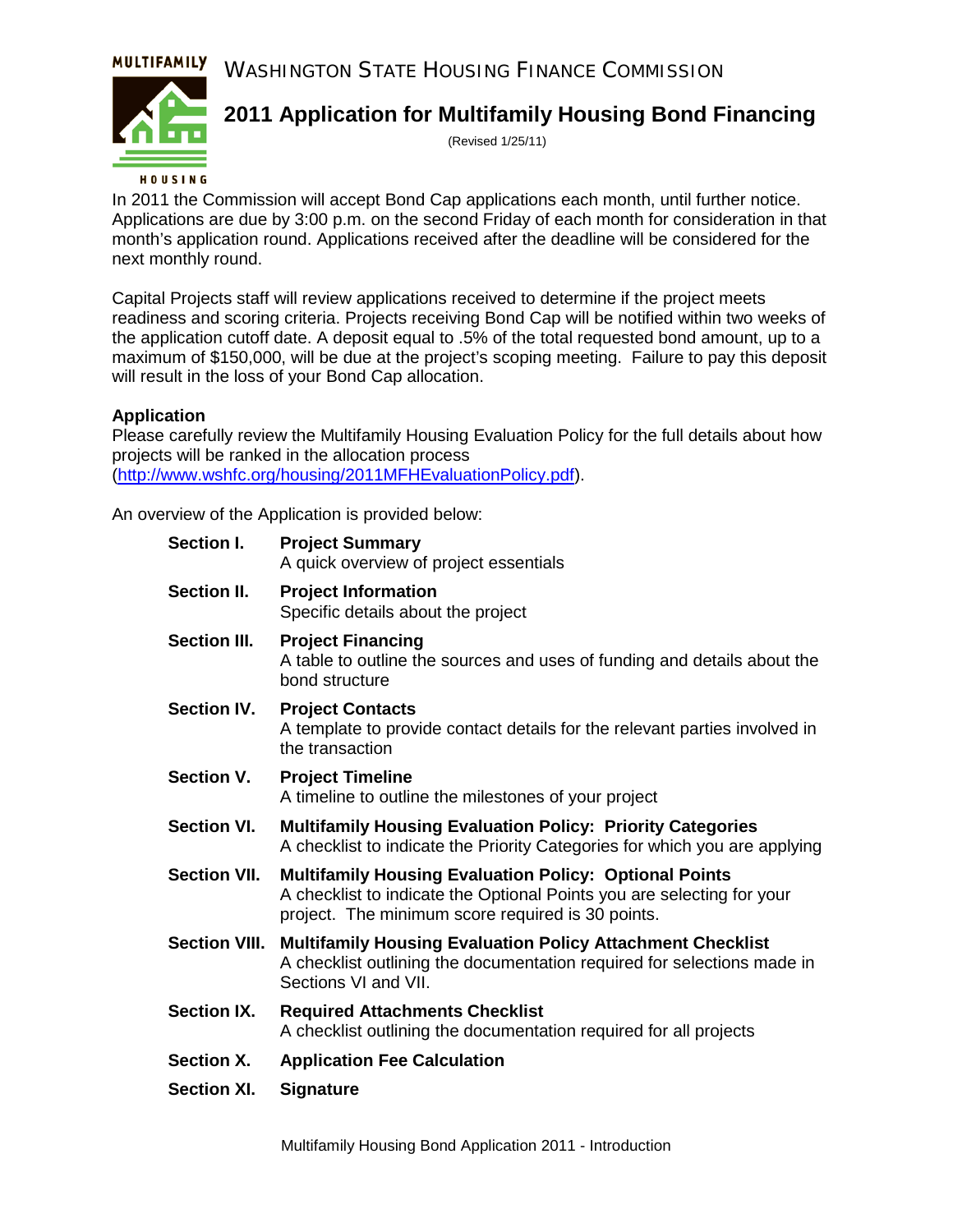MULTIFAMILY WASHINGTON STATE HOUSING FINANCE COMMISSION



## **2011 Application for Multifamily Housing Bond Financing**

(Revised 1/25/11)

### HOUSING

In 2011 the Commission will accept Bond Cap applications each month, until further notice. Applications are due by 3:00 p.m. on the second Friday of each month for consideration in that month's application round. Applications received after the deadline will be considered for the next monthly round.

Capital Projects staff will review applications received to determine if the project meets readiness and scoring criteria. Projects receiving Bond Cap will be notified within two weeks of the application cutoff date. A deposit equal to .5% of the total requested bond amount, up to a maximum of \$150,000, will be due at the project's scoping meeting. Failure to pay this deposit will result in the loss of your Bond Cap allocation.

### **Application**

Please carefully review the Multifamily Housing Evaluation Policy for the full details about how projects will be ranked in the allocation process [\(http://www.wshfc.org/housing/2011MFHEvaluationPolicy.pdf\)](http://www.wshfc.org/housing/2011MFHEvaluationPolicy.pdf).

An overview of the Application is provided below:

| Section I.           | <b>Project Summary</b><br>A quick overview of project essentials                                                                                                                             |
|----------------------|----------------------------------------------------------------------------------------------------------------------------------------------------------------------------------------------|
| Section II.          | <b>Project Information</b><br>Specific details about the project                                                                                                                             |
| <b>Section III.</b>  | <b>Project Financing</b><br>A table to outline the sources and uses of funding and details about the<br>bond structure                                                                       |
| <b>Section IV.</b>   | <b>Project Contacts</b><br>A template to provide contact details for the relevant parties involved in<br>the transaction                                                                     |
| Section V.           | <b>Project Timeline</b><br>A timeline to outline the milestones of your project                                                                                                              |
| <b>Section VI.</b>   | <b>Multifamily Housing Evaluation Policy: Priority Categories</b><br>A checklist to indicate the Priority Categories for which you are applying                                              |
| <b>Section VII.</b>  | <b>Multifamily Housing Evaluation Policy: Optional Points</b><br>A checklist to indicate the Optional Points you are selecting for your<br>project. The minimum score required is 30 points. |
| <b>Section VIII.</b> | <b>Multifamily Housing Evaluation Policy Attachment Checklist</b><br>A checklist outlining the documentation required for selections made in<br>Sections VI and VII.                         |
| <b>Section IX.</b>   | <b>Required Attachments Checklist</b><br>A checklist outlining the documentation required for all projects                                                                                   |
| <b>Section X.</b>    | <b>Application Fee Calculation</b>                                                                                                                                                           |
| <b>Section XI.</b>   | <b>Signature</b>                                                                                                                                                                             |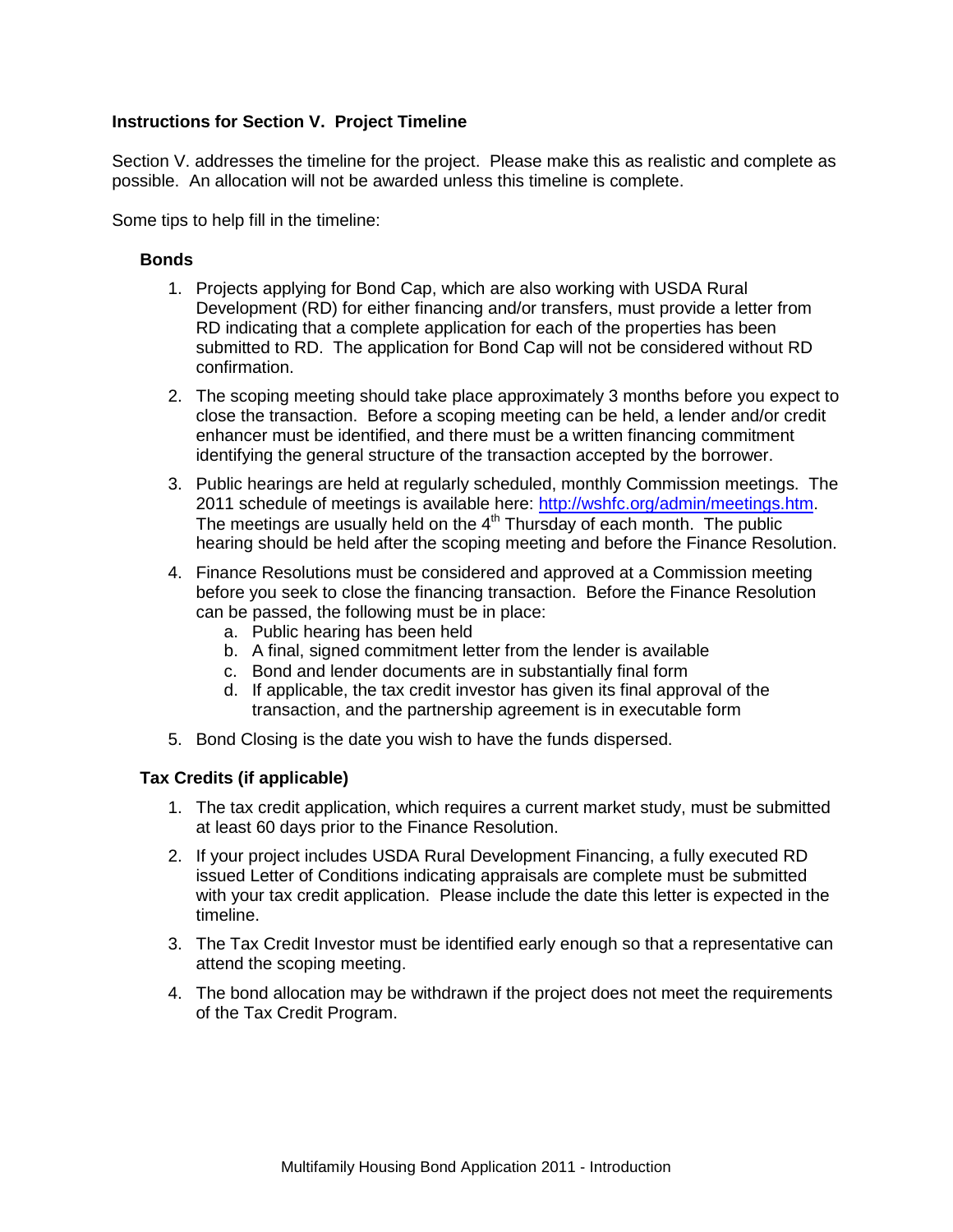### **Instructions for Section V. Project Timeline**

Section V. addresses the timeline for the project. Please make this as realistic and complete as possible. An allocation will not be awarded unless this timeline is complete.

Some tips to help fill in the timeline:

### **Bonds**

- 1. Projects applying for Bond Cap, which are also working with USDA Rural Development (RD) for either financing and/or transfers, must provide a letter from RD indicating that a complete application for each of the properties has been submitted to RD. The application for Bond Cap will not be considered without RD confirmation.
- 2. The scoping meeting should take place approximately 3 months before you expect to close the transaction. Before a scoping meeting can be held, a lender and/or credit enhancer must be identified, and there must be a written financing commitment identifying the general structure of the transaction accepted by the borrower.
- 3. Public hearings are held at regularly scheduled, monthly Commission meetings. The 2011 schedule of meetings is available here: [http://wshfc.org/admin/meetings.htm.](http://wshfc.org/admin/meetings.htm) The meetings are usually held on the  $4<sup>th</sup>$  Thursday of each month. The public hearing should be held after the scoping meeting and before the Finance Resolution.
- 4. Finance Resolutions must be considered and approved at a Commission meeting before you seek to close the financing transaction. Before the Finance Resolution can be passed, the following must be in place:
	- a. Public hearing has been held
	- b. A final, signed commitment letter from the lender is available
	- c. Bond and lender documents are in substantially final form
	- d. If applicable, the tax credit investor has given its final approval of the transaction, and the partnership agreement is in executable form
- 5. Bond Closing is the date you wish to have the funds dispersed.

### **Tax Credits (if applicable)**

- 1. The tax credit application, which requires a current market study, must be submitted at least 60 days prior to the Finance Resolution.
- 2. If your project includes USDA Rural Development Financing, a fully executed RD issued Letter of Conditions indicating appraisals are complete must be submitted with your tax credit application. Please include the date this letter is expected in the timeline.
- 3. The Tax Credit Investor must be identified early enough so that a representative can attend the scoping meeting.
- 4. The bond allocation may be withdrawn if the project does not meet the requirements of the Tax Credit Program.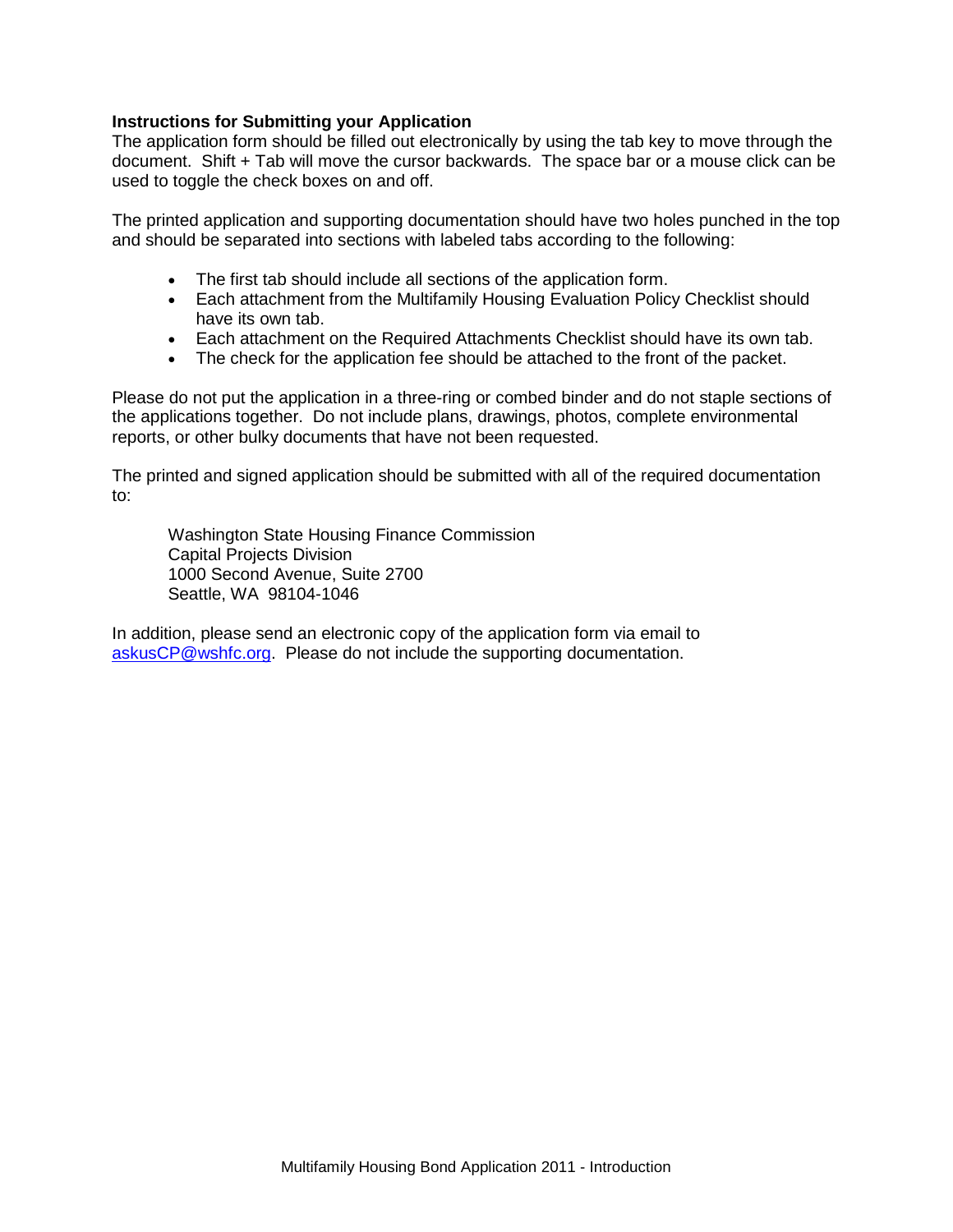### **Instructions for Submitting your Application**

The application form should be filled out electronically by using the tab key to move through the document. Shift + Tab will move the cursor backwards. The space bar or a mouse click can be used to toggle the check boxes on and off.

The printed application and supporting documentation should have two holes punched in the top and should be separated into sections with labeled tabs according to the following:

- The first tab should include all sections of the application form.
- Each attachment from the Multifamily Housing Evaluation Policy Checklist should have its own tab.
- Each attachment on the Required Attachments Checklist should have its own tab.
- The check for the application fee should be attached to the front of the packet.

Please do not put the application in a three-ring or combed binder and do not staple sections of the applications together. Do not include plans, drawings, photos, complete environmental reports, or other bulky documents that have not been requested.

The printed and signed application should be submitted with all of the required documentation to:

Washington State Housing Finance Commission Capital Projects Division 1000 Second Avenue, Suite 2700 Seattle, WA 98104-1046

In addition, please send an electronic copy of the application form via email to [askusCP@wshfc.org.](mailto:askusCP@wshfc.org) Please do not include the supporting documentation.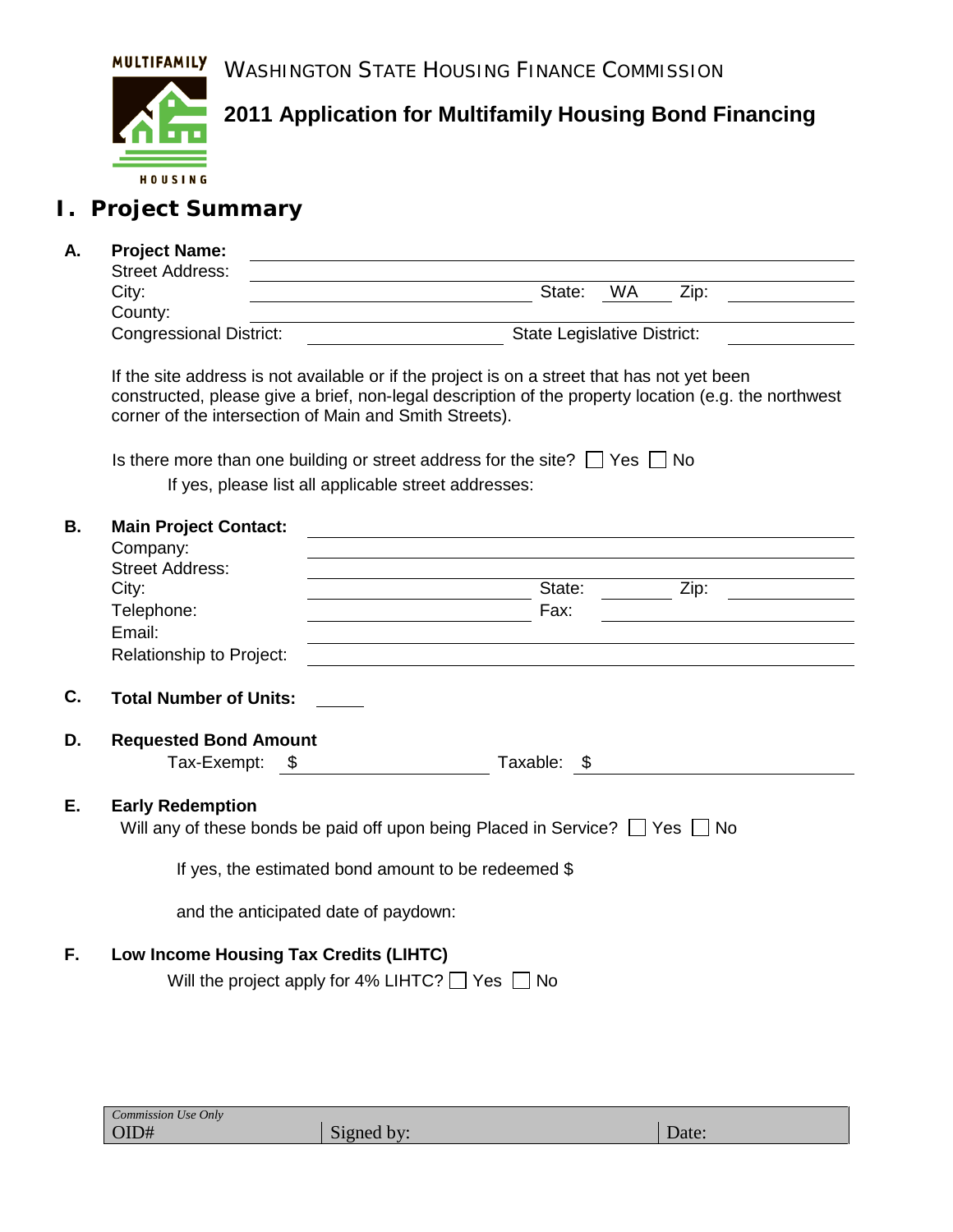WASHINGTON STATE HOUSING FINANCE COMMISSION



**2011 Application for Multifamily Housing Bond Financing**

# **I. Project Summary**

### **A. Project Name:**

| <b>Street Address:</b>         |                                    |
|--------------------------------|------------------------------------|
| City:                          | WA<br>Zip:<br>State:               |
| County:                        |                                    |
| <b>Congressional District:</b> | <b>State Legislative District:</b> |
|                                |                                    |

If the site address is not available or if the project is on a street that has not yet been constructed, please give a brief, non-legal description of the property location (e.g. the northwest corner of the intersection of Main and Smith Streets).

Is there more than one building or street address for the site?  $\Box$  Yes  $\Box$  No

If yes, please list all applicable street addresses:

| В. | <b>Main Project Contact:</b>           |                                                                                        |
|----|----------------------------------------|----------------------------------------------------------------------------------------|
|    | Company:<br><b>Street Address:</b>     |                                                                                        |
|    | City:                                  | State:<br>Zip:                                                                         |
|    | Telephone:                             | Fax:                                                                                   |
|    | Email:                                 |                                                                                        |
|    | Relationship to Project:               |                                                                                        |
| C. | <b>Total Number of Units:</b>          |                                                                                        |
| D. | <b>Requested Bond Amount</b>           |                                                                                        |
|    | Tax-Exempt: \$                         | Taxable: \$                                                                            |
| Е. | <b>Early Redemption</b>                |                                                                                        |
|    |                                        | Will any of these bonds be paid off upon being Placed in Service? $\Box$ Yes $\Box$ No |
|    |                                        | If yes, the estimated bond amount to be redeemed \$                                    |
|    |                                        | and the anticipated date of paydown:                                                   |
| F. | Low Income Housing Tax Credits (LIHTC) |                                                                                        |
|    |                                        | Will the project apply for 4% LIHTC? $\Box$ Yes $\Box$ No                              |

| Commission Use Only |            |       |
|---------------------|------------|-------|
| OID#                | Signed by: | Date: |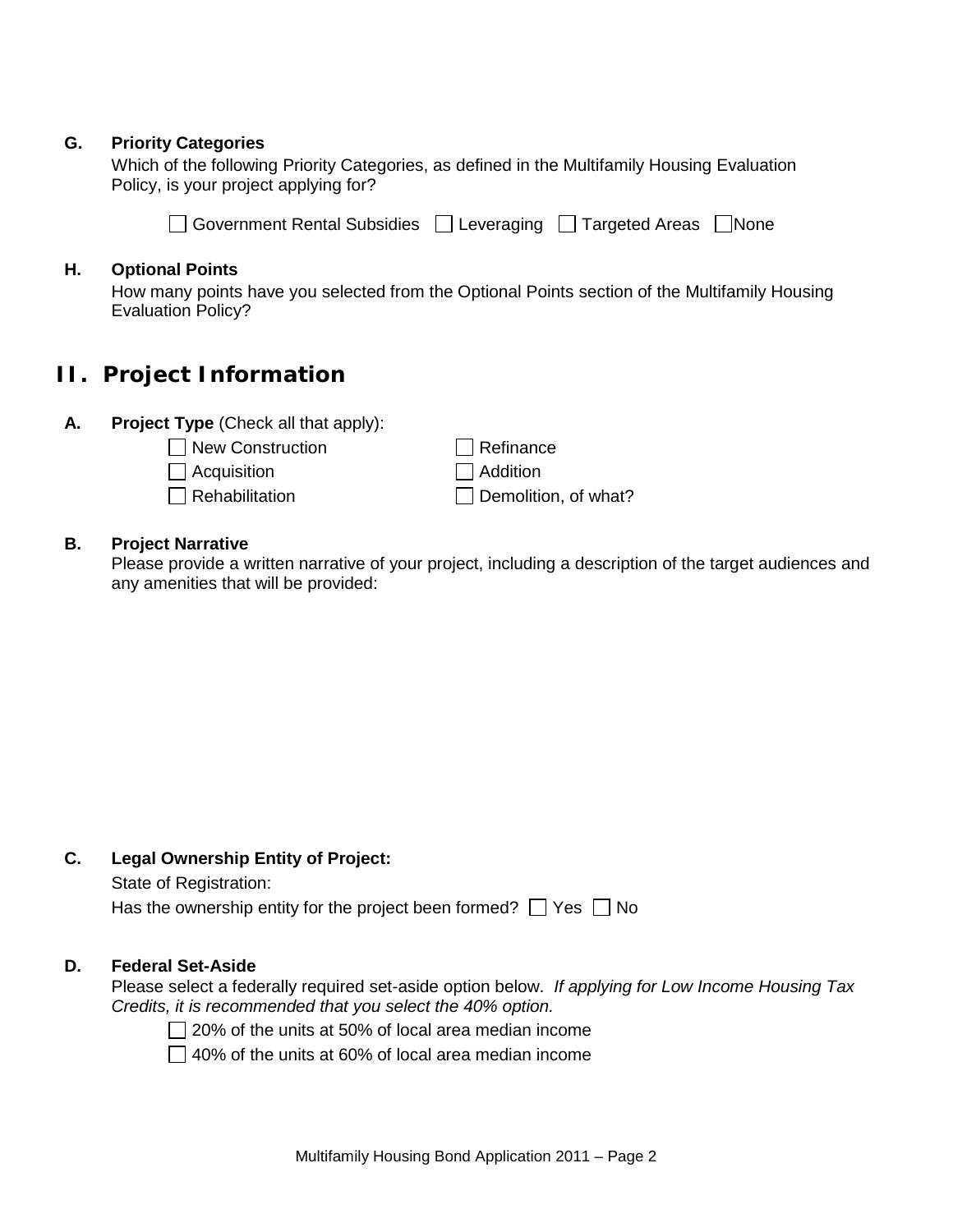### **G. Priority Categories**

Which of the following Priority Categories, as defined in the Multifamily Housing Evaluation Policy, is your project applying for?

 $\Box$  Government Rental Subsidies  $\Box$  Leveraging  $\Box$  Targeted Areas  $\Box$  None

### **H. Optional Points**

How many points have you selected from the Optional Points section of the Multifamily Housing Evaluation Policy?

## **II. Project Information**

- **A. Project Type** (Check all that apply):
	- $\Box$  New Construction
		- $\Box$  Acquisition
		- $\Box$  Rehabilitation

 $\Box$  Refinance  $\Box$  Addition  $\Box$  Demolition, of what?

### **B. Project Narrative**

Please provide a written narrative of your project, including a description of the target audiences and any amenities that will be provided:

### **C. Legal Ownership Entity of Project:**

State of Registration:

Has the ownership entity for the project been formed?  $\Box$  Yes  $\Box$  No

#### **D. Federal Set-Aside**

Please select a federally required set-aside option below. *If applying for Low Income Housing Tax Credits, it is recommended that you select the 40% option.*

 $\Box$  20% of the units at 50% of local area median income

 $\Box$  40% of the units at 60% of local area median income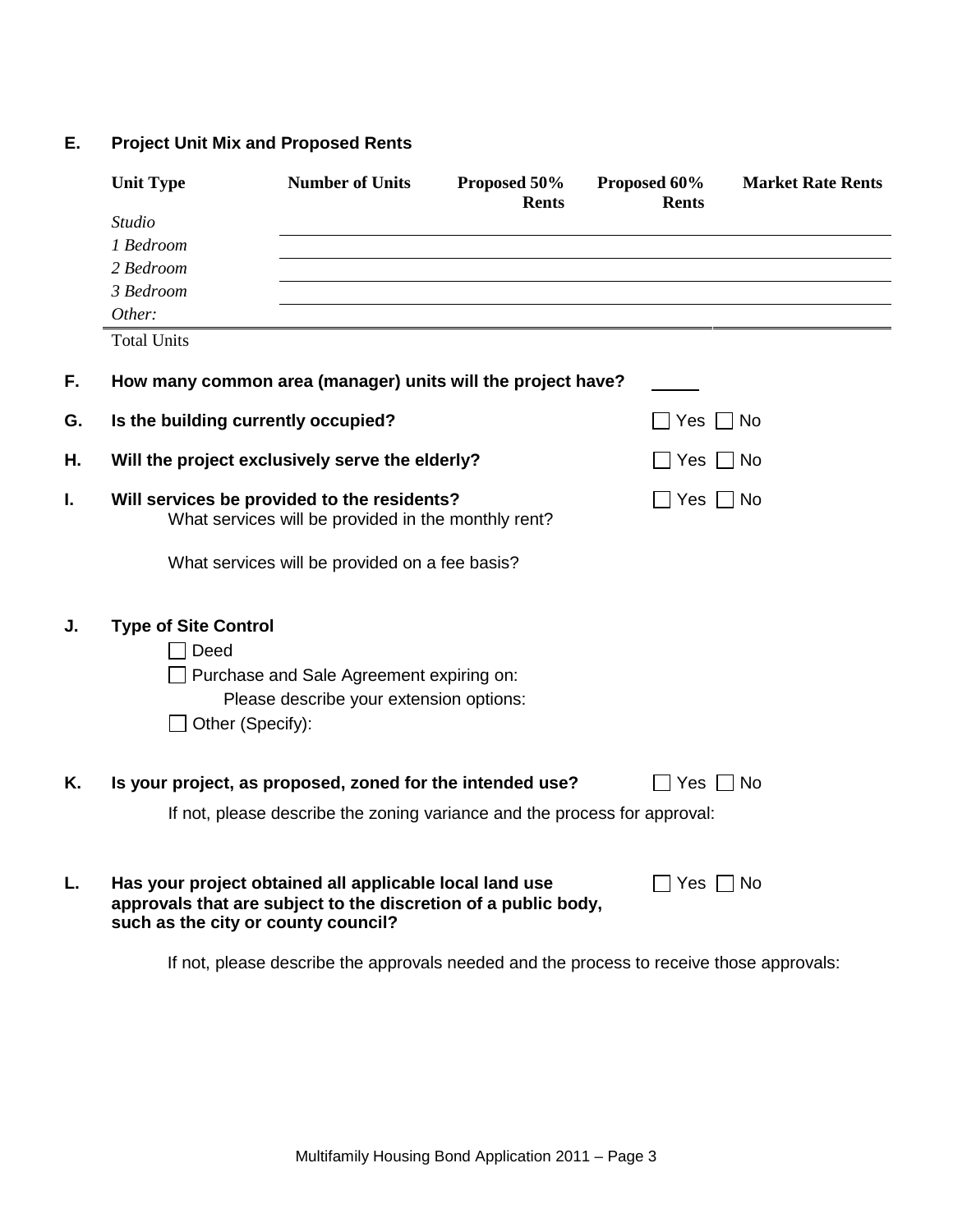### **E. Project Unit Mix and Proposed Rents**

|    | <b>Unit Type</b>                    | <b>Number of Units</b>                                                                                                    | Proposed 50%<br><b>Rents</b> | Proposed 60%<br><b>Rents</b> | <b>Market Rate Rents</b> |
|----|-------------------------------------|---------------------------------------------------------------------------------------------------------------------------|------------------------------|------------------------------|--------------------------|
|    | <b>Studio</b>                       |                                                                                                                           |                              |                              |                          |
|    | 1 Bedroom                           |                                                                                                                           |                              |                              |                          |
|    | 2 Bedroom                           |                                                                                                                           |                              |                              |                          |
|    | 3 Bedroom                           |                                                                                                                           |                              |                              |                          |
|    | Other:                              |                                                                                                                           |                              |                              |                          |
|    | <b>Total Units</b>                  |                                                                                                                           |                              |                              |                          |
| F. |                                     | How many common area (manager) units will the project have?                                                               |                              |                              |                          |
| G. | Is the building currently occupied? |                                                                                                                           |                              | Yes                          | No                       |
| Н. |                                     | Will the project exclusively serve the elderly?                                                                           |                              | Yes                          | $\vert$   No             |
| I. |                                     | Will services be provided to the residents?<br>What services will be provided in the monthly rent?                        |                              | $Yes \mid \text{No}$         |                          |
|    |                                     | What services will be provided on a fee basis?                                                                            |                              |                              |                          |
| J. | <b>Type of Site Control</b>         |                                                                                                                           |                              |                              |                          |
|    | Deed                                |                                                                                                                           |                              |                              |                          |
|    |                                     | Purchase and Sale Agreement expiring on:                                                                                  |                              |                              |                          |
|    |                                     | Please describe your extension options:                                                                                   |                              |                              |                          |
|    | Other (Specify):                    |                                                                                                                           |                              |                              |                          |
| K. |                                     | Is your project, as proposed, zoned for the intended use?                                                                 |                              | 7 Yes                        | Mo⊺                      |
|    |                                     | If not, please describe the zoning variance and the process for approval:                                                 |                              |                              |                          |
| L. | such as the city or county council? | Has your project obtained all applicable local land use<br>approvals that are subject to the discretion of a public body, |                              | Yes $\Box$ No                |                          |

If not, please describe the approvals needed and the process to receive those approvals: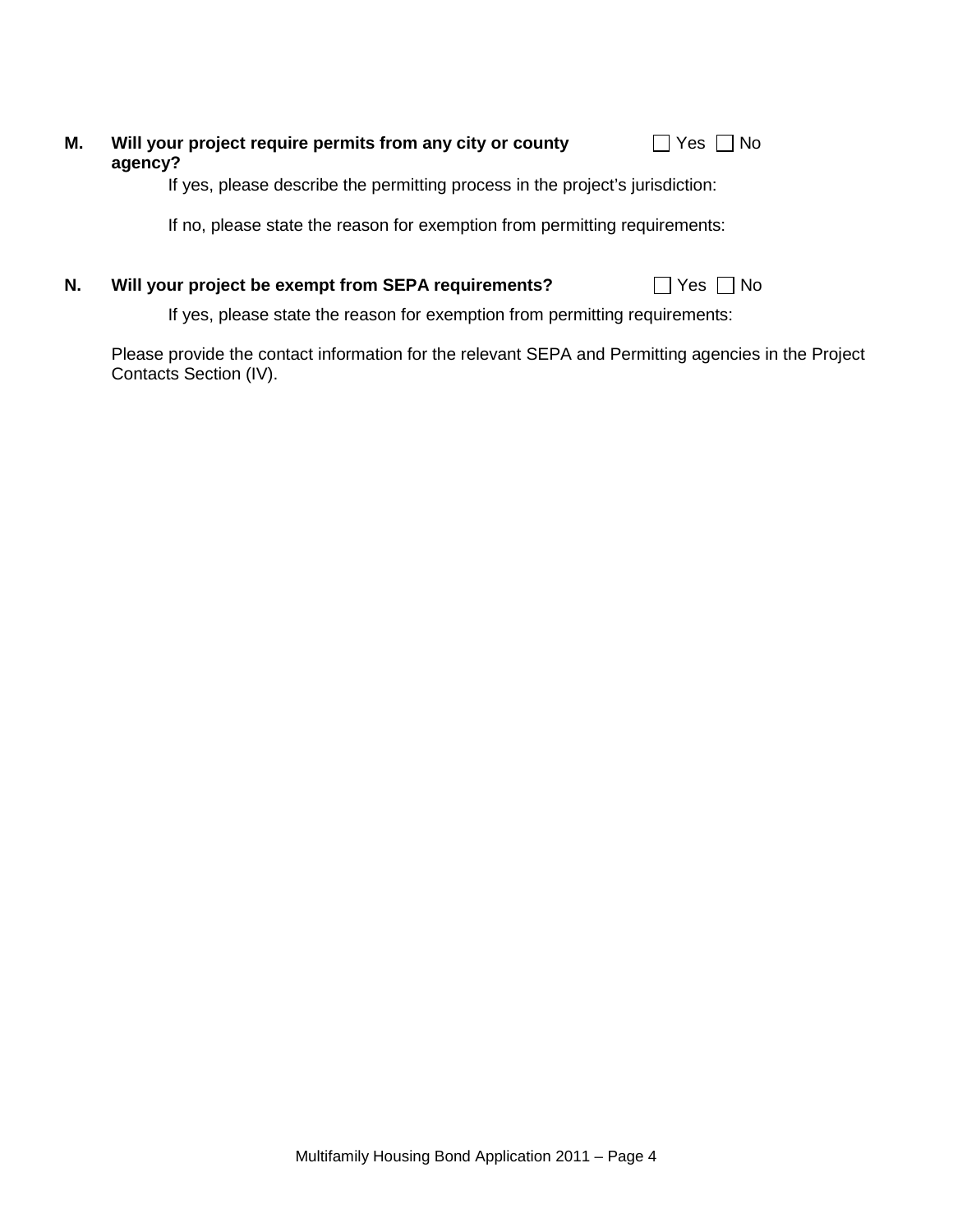| Will your project require permits from any city or county<br>agency?          | $\Box$ Yes $\Box$ No |
|-------------------------------------------------------------------------------|----------------------|
| If yes, please describe the permitting process in the project's jurisdiction: |                      |

If no, please state the reason for exemption from permitting requirements:

### **N.** Will your project be exempt from SEPA requirements?

|  | -- |  | חצי |
|--|----|--|-----|
|--|----|--|-----|

If yes, please state the reason for exemption from permitting requirements:

Please provide the contact information for the relevant SEPA and Permitting agencies in the Project Contacts Section (IV).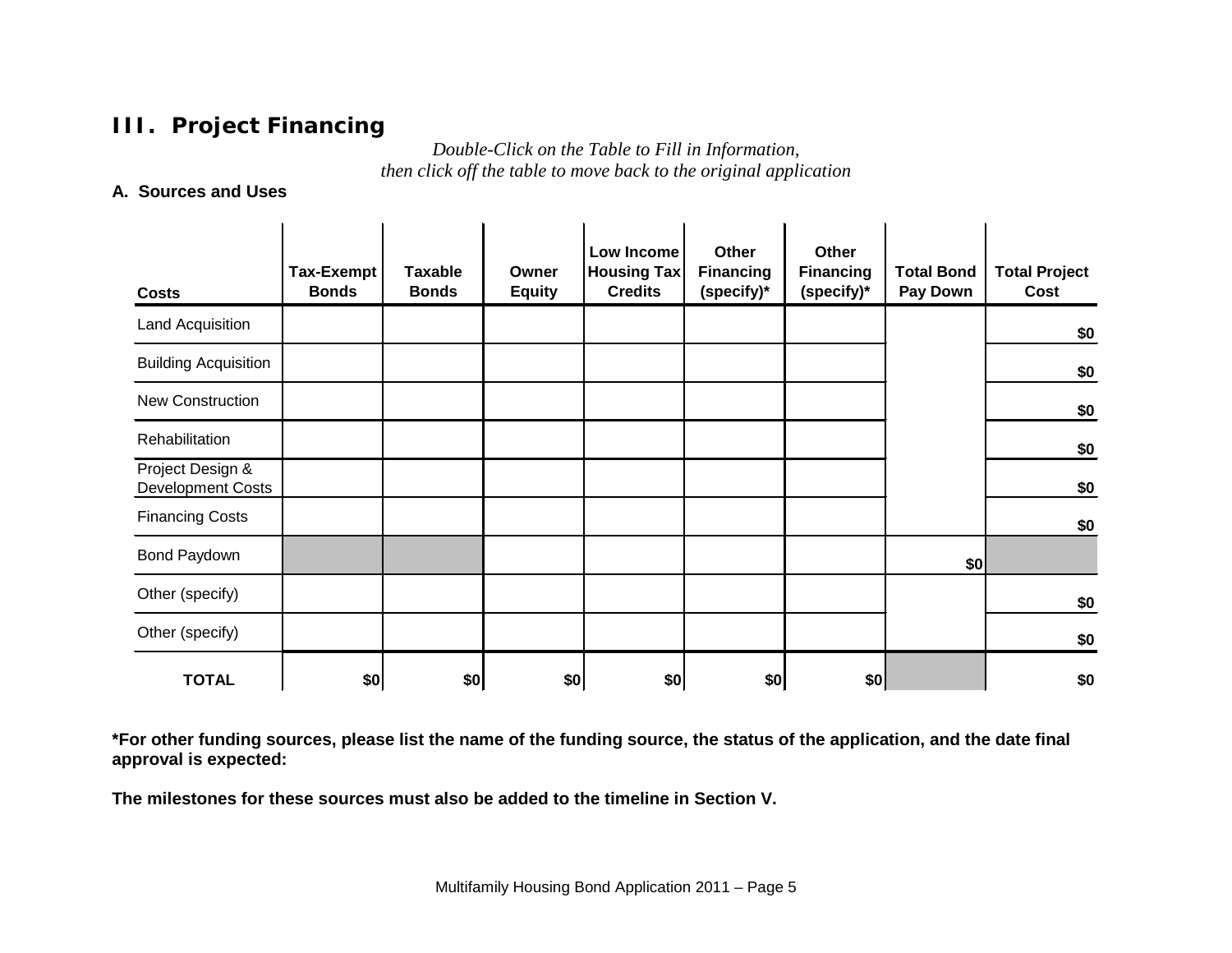# **III. Project Financing**

*Double-Click on the Table to Fill in Information, then click off the table to move back to the original application*

### **A. Sources and Uses**

| <b>Costs</b>                                 | <b>Tax-Exempt</b><br><b>Bonds</b> | <b>Taxable</b><br><b>Bonds</b> | Owner<br><b>Equity</b> | Low Income<br><b>Housing Tax</b><br><b>Credits</b> | Other<br><b>Financing</b><br>(specify)* | Other<br><b>Financing</b><br>(specify)* | <b>Total Bond</b><br>Pay Down | <b>Total Project</b><br>Cost |
|----------------------------------------------|-----------------------------------|--------------------------------|------------------------|----------------------------------------------------|-----------------------------------------|-----------------------------------------|-------------------------------|------------------------------|
| <b>Land Acquisition</b>                      |                                   |                                |                        |                                                    |                                         |                                         |                               | \$0                          |
| <b>Building Acquisition</b>                  |                                   |                                |                        |                                                    |                                         |                                         |                               | \$0                          |
| New Construction                             |                                   |                                |                        |                                                    |                                         |                                         |                               | \$0                          |
| Rehabilitation                               |                                   |                                |                        |                                                    |                                         |                                         |                               | \$0                          |
| Project Design &<br><b>Development Costs</b> |                                   |                                |                        |                                                    |                                         |                                         |                               | \$0                          |
| <b>Financing Costs</b>                       |                                   |                                |                        |                                                    |                                         |                                         |                               | \$0                          |
| Bond Paydown                                 |                                   |                                |                        |                                                    |                                         |                                         | \$0                           |                              |
| Other (specify)                              |                                   |                                |                        |                                                    |                                         |                                         |                               | \$0                          |
| Other (specify)                              |                                   |                                |                        |                                                    |                                         |                                         |                               | \$0                          |
| <b>TOTAL</b>                                 | \$0                               | \$0                            | \$0                    | \$0                                                | \$0                                     | \$0                                     |                               | \$0                          |

**\*For other funding sources, please list the name of the funding source, the status of the application, and the date final approval is expected:** 

**The milestones for these sources must also be added to the timeline in Section V.**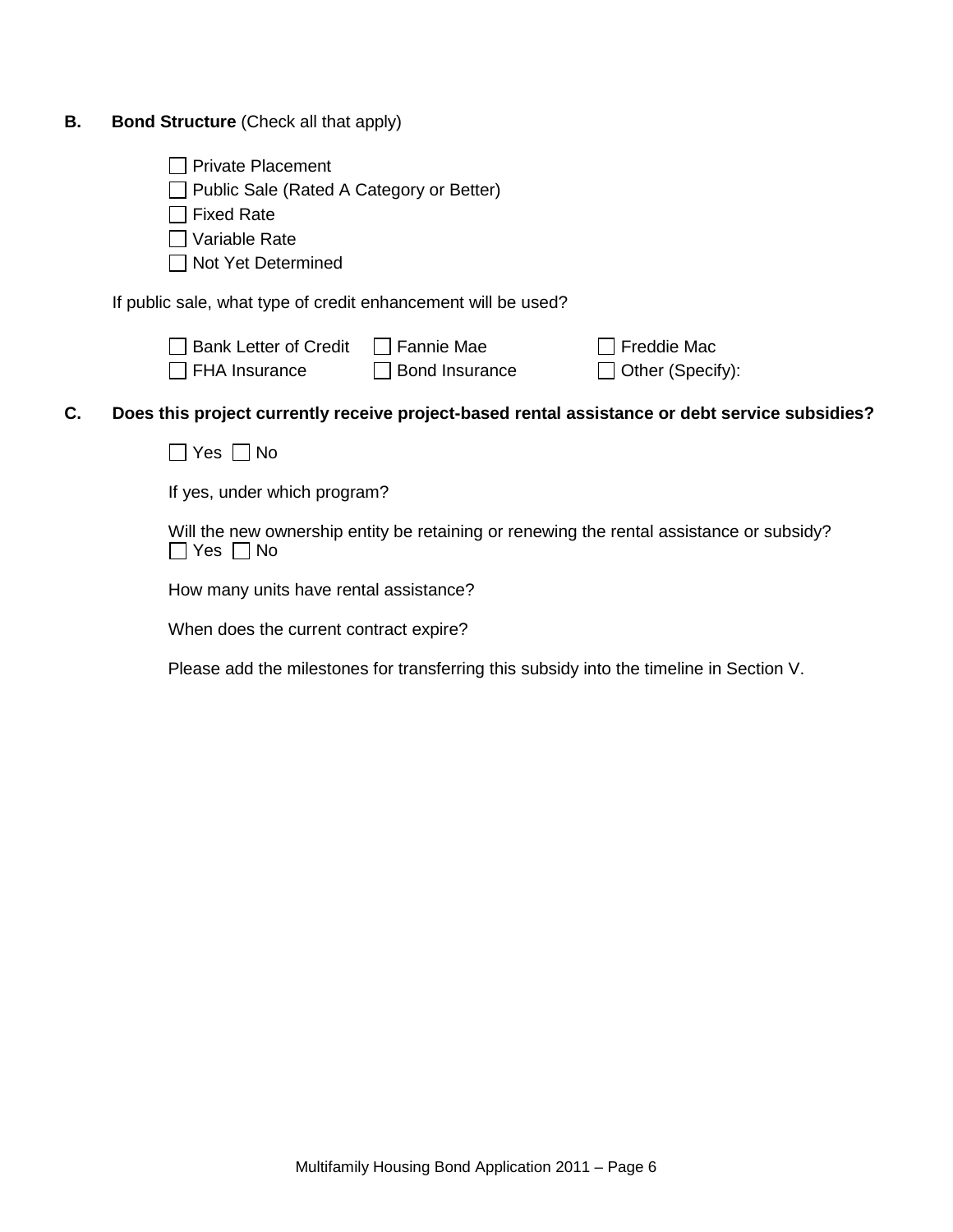| В. |  | <b>Bond Structure (Check all that apply)</b> |
|----|--|----------------------------------------------|
|----|--|----------------------------------------------|

□ Public Sale (Rated A Category or Better)

| $\Box$ Fixed Rate |  |
|-------------------|--|
|-------------------|--|

Variable Rate

Not Yet Determined

If public sale, what type of credit enhancement will be used?

| $\Box$ Bank Letter of Credit | $\Box$ Fannie Mae     | $\Box$ Freddie Mac      |
|------------------------------|-----------------------|-------------------------|
| $\Box$ FHA Insurance         | $\Box$ Bond Insurance | $\Box$ Other (Specify): |

 $\Box$  Freddie Mac

### **C. Does this project currently receive project-based rental assistance or debt service subsidies?**

 $\Box$  Yes  $\Box$  No

If yes, under which program?

Will the new ownership entity be retaining or renewing the rental assistance or subsidy?  $\Box$  Yes  $\Box$  No

How many units have rental assistance?

When does the current contract expire?

Please add the milestones for transferring this subsidy into the timeline in Section V.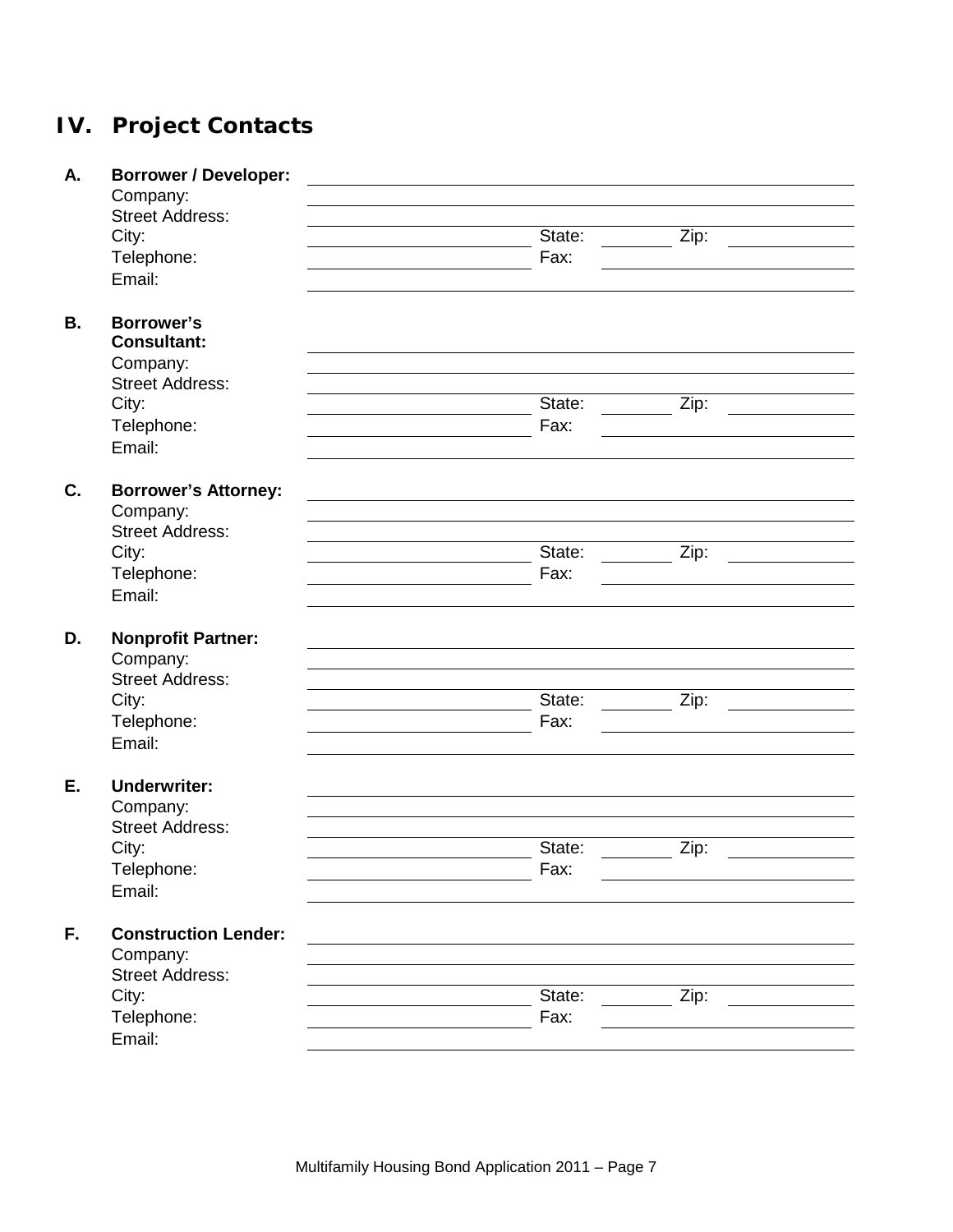# **IV. Project Contacts**

| А.        | <b>Borrower / Developer:</b>       |        |                    |  |
|-----------|------------------------------------|--------|--------------------|--|
|           | Company:                           |        |                    |  |
|           | <b>Street Address:</b>             |        |                    |  |
|           | City:                              | State: | Zip:               |  |
|           | Telephone:                         | Fax:   |                    |  |
|           | Email:                             |        |                    |  |
|           |                                    |        |                    |  |
| <b>B.</b> | <b>Borrower's</b>                  |        |                    |  |
|           | <b>Consultant:</b>                 |        |                    |  |
|           | Company:                           |        |                    |  |
|           | <b>Street Address:</b>             |        |                    |  |
|           | City:                              | State: | Zip:               |  |
|           | Telephone:                         | Fax:   |                    |  |
|           | Email:                             |        |                    |  |
|           |                                    |        |                    |  |
| C.        | <b>Borrower's Attorney:</b>        |        |                    |  |
|           | Company:                           |        |                    |  |
|           | <b>Street Address:</b>             |        |                    |  |
|           | City:                              | State: | Zip:               |  |
|           | Telephone:                         | Fax:   |                    |  |
|           | Email:                             |        |                    |  |
|           |                                    |        |                    |  |
| D.        | <b>Nonprofit Partner:</b>          |        |                    |  |
|           | Company:                           |        |                    |  |
|           | <b>Street Address:</b>             |        |                    |  |
|           | City:                              | State: | Zip:               |  |
|           | Telephone:                         | Fax:   |                    |  |
|           | Email:                             |        |                    |  |
|           |                                    |        |                    |  |
| Ε.        | <b>Underwriter:</b>                |        |                    |  |
|           | Company:<br><b>Street Address:</b> |        |                    |  |
|           |                                    |        |                    |  |
|           | City:                              | State: | $\overline{Z}$ ip: |  |
|           | Telephone:                         | Fax:   |                    |  |
|           | Email:                             |        |                    |  |
| F.        | <b>Construction Lender:</b>        |        |                    |  |
|           | Company:                           |        |                    |  |
|           | <b>Street Address:</b>             |        |                    |  |
|           |                                    | State: |                    |  |
|           | City:                              |        | Zip:               |  |
|           | Telephone:                         | Fax:   |                    |  |
|           | Email:                             |        |                    |  |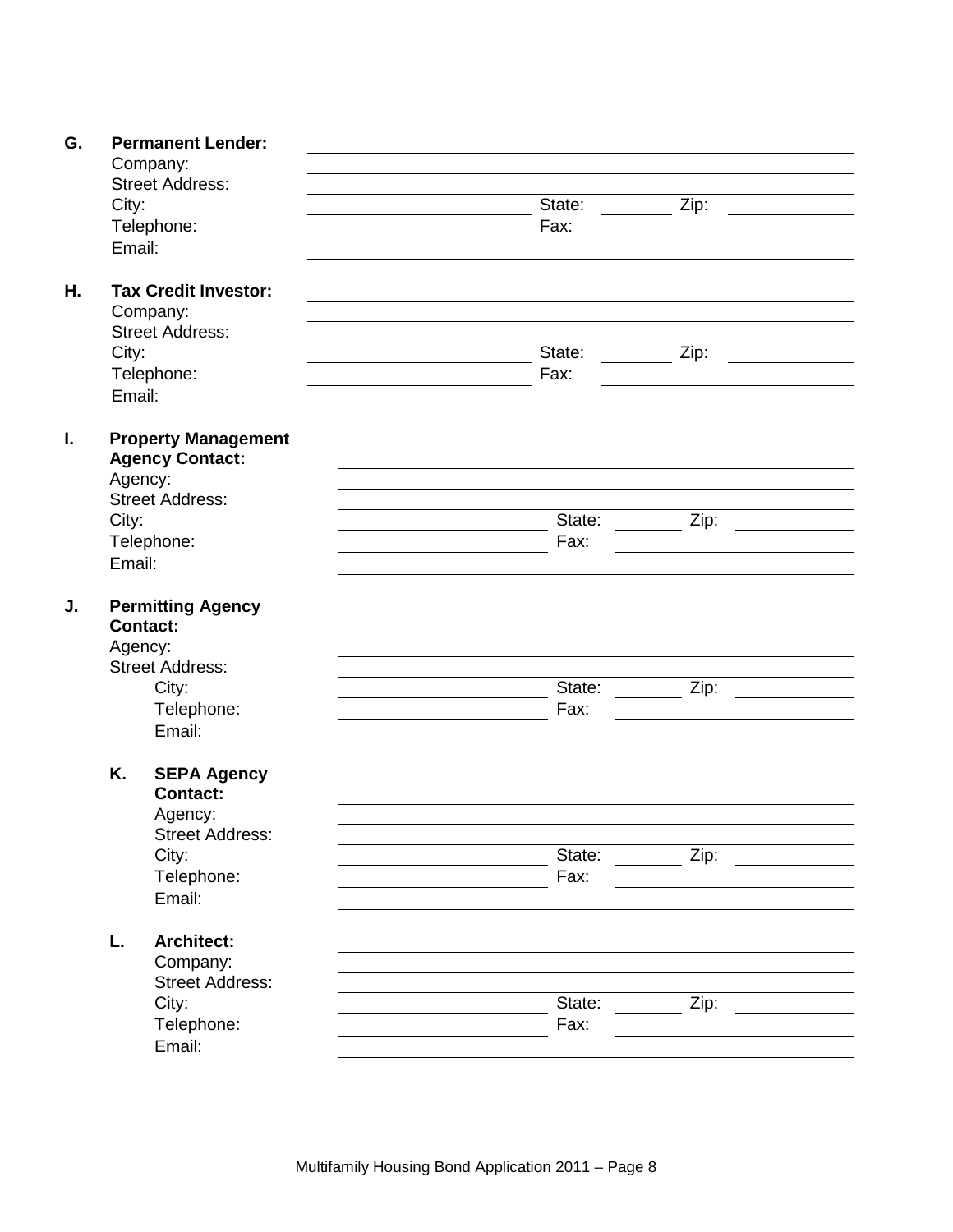| G. |         | <b>Permanent Lender:</b>                    |        |                    |
|----|---------|---------------------------------------------|--------|--------------------|
|    |         | Company:                                    |        |                    |
|    |         | <b>Street Address:</b>                      |        |                    |
|    | City:   |                                             | State: | Zip:               |
|    |         | Telephone:                                  | Fax:   |                    |
|    | Email:  |                                             |        |                    |
| Η. |         | <b>Tax Credit Investor:</b>                 |        |                    |
|    |         | Company:                                    |        |                    |
|    |         | <b>Street Address:</b>                      |        |                    |
|    | City:   |                                             | State: | Zip:               |
|    |         | Telephone:                                  | Fax:   |                    |
|    | Email:  |                                             |        |                    |
| I. |         | <b>Property Management</b>                  |        |                    |
|    |         | <b>Agency Contact:</b>                      |        |                    |
|    | Agency: |                                             |        |                    |
|    |         | <b>Street Address:</b>                      |        |                    |
|    | City:   |                                             | State: | $\overline{Z}$ ip: |
|    |         | Telephone:                                  | Fax:   |                    |
|    | Email:  |                                             |        |                    |
| J. |         | <b>Permitting Agency</b><br><b>Contact:</b> |        |                    |
|    | Agency: |                                             |        |                    |
|    |         | <b>Street Address:</b>                      |        |                    |
|    |         | City:                                       | State: | Zip:               |
|    |         | Telephone:                                  | Fax:   |                    |
|    |         | Email:                                      |        |                    |
|    |         |                                             |        |                    |
|    | K.      | <b>SEPA Agency</b><br><b>Contact:</b>       |        |                    |
|    |         |                                             |        |                    |
|    |         | Agency:                                     |        |                    |
|    |         | <b>Street Address:</b>                      | State: |                    |
|    |         | City:                                       |        | Zip:               |
|    |         | Telephone:                                  | Fax:   |                    |
|    |         | Email:                                      |        |                    |
|    | L.      | <b>Architect:</b>                           |        |                    |
|    |         | Company:                                    |        |                    |
|    |         | <b>Street Address:</b>                      |        |                    |
|    |         | City:                                       | State: | Zip:               |
|    |         | Telephone:                                  | Fax:   |                    |
|    |         | Email:                                      |        |                    |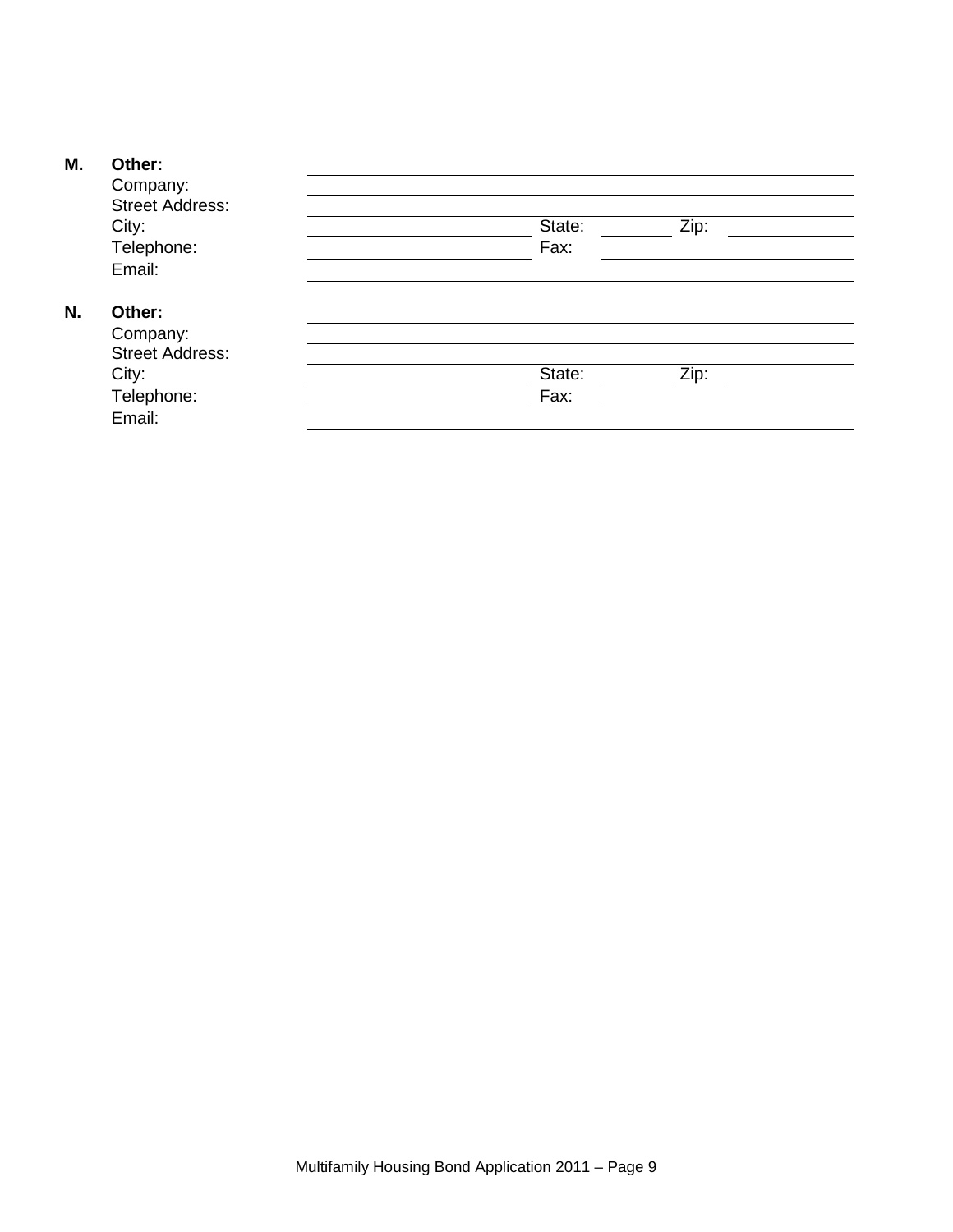### **M. Other:**

|    | Company:               |        |      |  |
|----|------------------------|--------|------|--|
|    | <b>Street Address:</b> |        |      |  |
|    | City:                  | State: | Zip: |  |
|    | Telephone:             | Fax:   |      |  |
|    | Email:                 |        |      |  |
| N. | Other:                 |        |      |  |
|    | Company:               |        |      |  |
|    | <b>Street Address:</b> |        |      |  |
|    | City:                  | State: | Zip: |  |
|    | Telephone:             | Fax:   |      |  |
|    | Email:                 |        |      |  |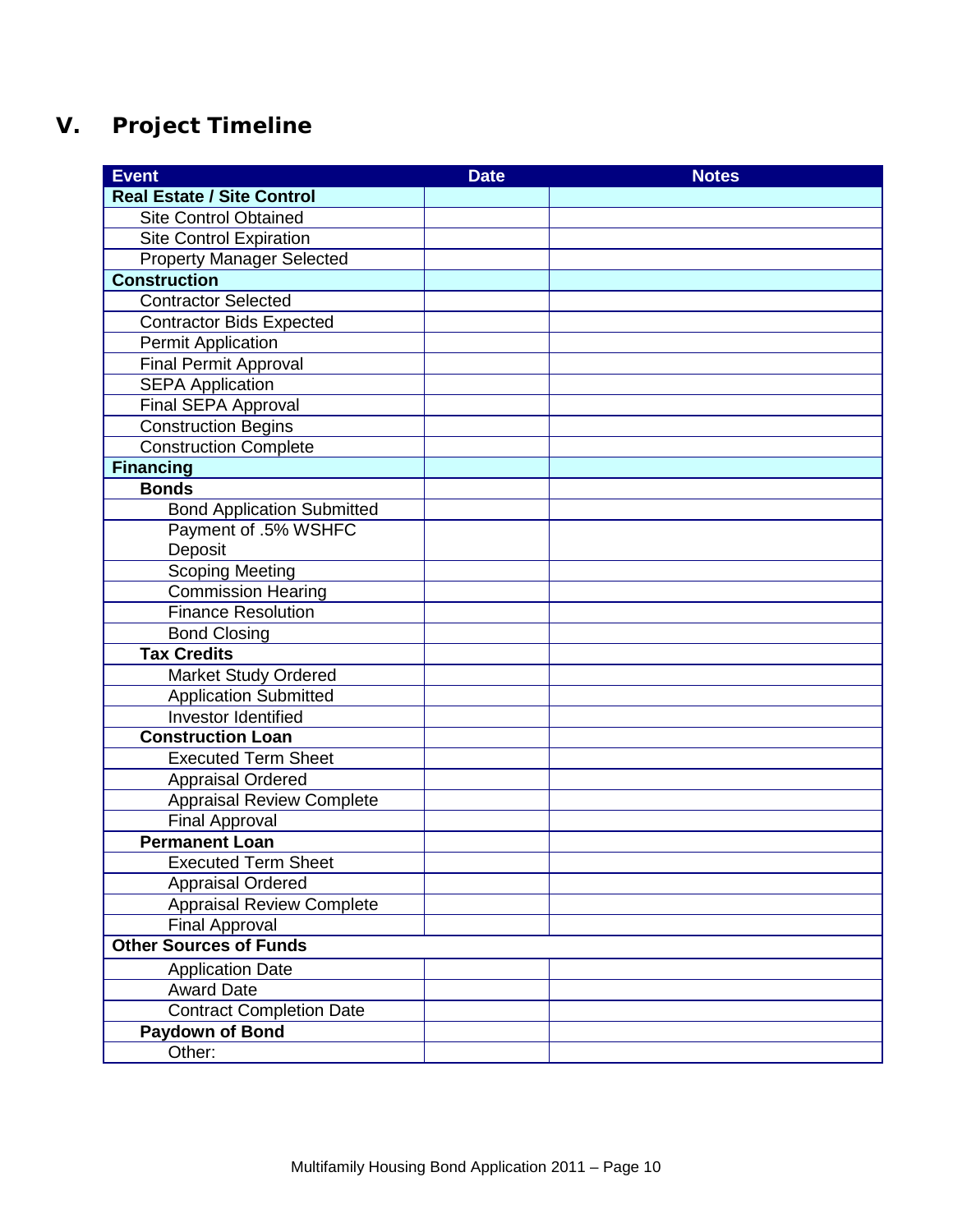# **V. Project Timeline**

| <b>Event</b>                      | <b>Date</b> | <b>Notes</b> |
|-----------------------------------|-------------|--------------|
| <b>Real Estate / Site Control</b> |             |              |
| <b>Site Control Obtained</b>      |             |              |
| <b>Site Control Expiration</b>    |             |              |
| <b>Property Manager Selected</b>  |             |              |
| <b>Construction</b>               |             |              |
| <b>Contractor Selected</b>        |             |              |
| <b>Contractor Bids Expected</b>   |             |              |
| <b>Permit Application</b>         |             |              |
| <b>Final Permit Approval</b>      |             |              |
| <b>SEPA Application</b>           |             |              |
| Final SEPA Approval               |             |              |
| <b>Construction Begins</b>        |             |              |
| <b>Construction Complete</b>      |             |              |
| <b>Financing</b>                  |             |              |
| <b>Bonds</b>                      |             |              |
| <b>Bond Application Submitted</b> |             |              |
| Payment of .5% WSHFC              |             |              |
| Deposit                           |             |              |
| <b>Scoping Meeting</b>            |             |              |
| <b>Commission Hearing</b>         |             |              |
| <b>Finance Resolution</b>         |             |              |
| <b>Bond Closing</b>               |             |              |
| <b>Tax Credits</b>                |             |              |
| <b>Market Study Ordered</b>       |             |              |
| <b>Application Submitted</b>      |             |              |
| Investor Identified               |             |              |
| <b>Construction Loan</b>          |             |              |
| <b>Executed Term Sheet</b>        |             |              |
| <b>Appraisal Ordered</b>          |             |              |
| <b>Appraisal Review Complete</b>  |             |              |
| <b>Final Approval</b>             |             |              |
| <b>Permanent Loan</b>             |             |              |
| <b>Executed Term Sheet</b>        |             |              |
| <b>Appraisal Ordered</b>          |             |              |
| <b>Appraisal Review Complete</b>  |             |              |
| <b>Final Approval</b>             |             |              |
| <b>Other Sources of Funds</b>     |             |              |
| <b>Application Date</b>           |             |              |
| <b>Award Date</b>                 |             |              |
| <b>Contract Completion Date</b>   |             |              |
| <b>Paydown of Bond</b>            |             |              |
| Other:                            |             |              |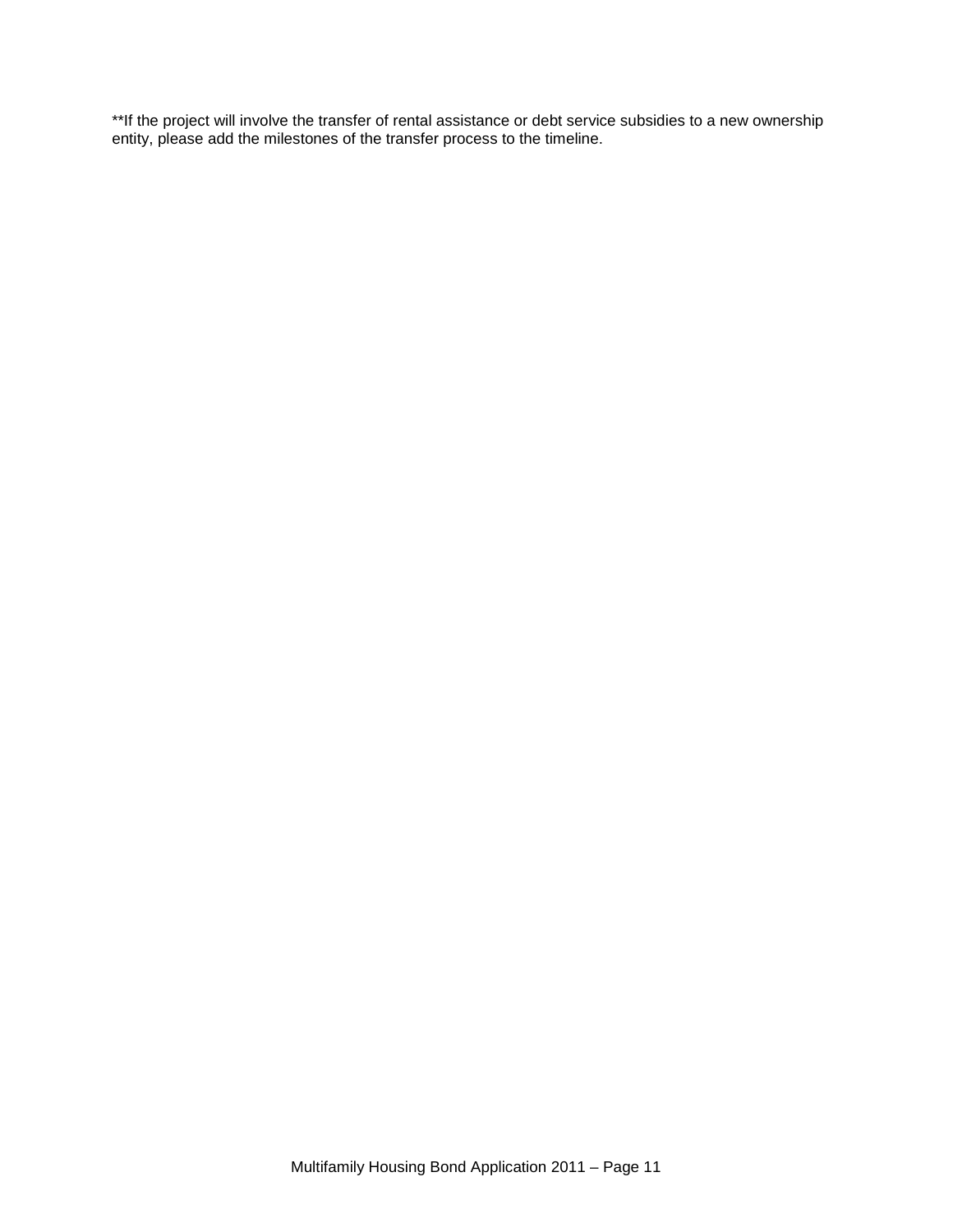\*\*If the project will involve the transfer of rental assistance or debt service subsidies to a new ownership entity, please add the milestones of the transfer process to the timeline.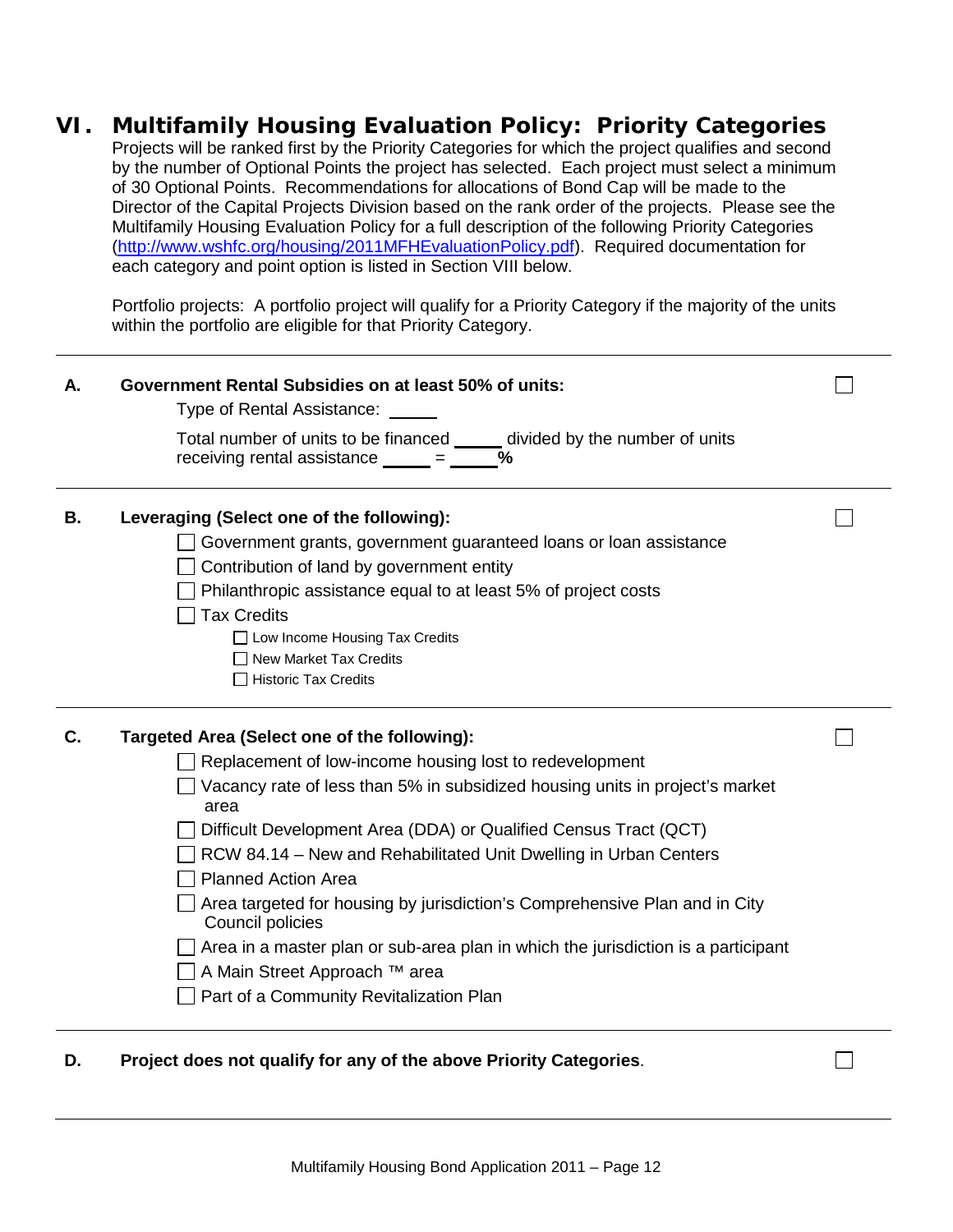## **VI. Multifamily Housing Evaluation Policy: Priority Categories**

Projects will be ranked first by the Priority Categories for which the project qualifies and second by the number of Optional Points the project has selected. Each project must select a minimum of 30 Optional Points. Recommendations for allocations of Bond Cap will be made to the Director of the Capital Projects Division based on the rank order of the projects. Please see the Multifamily Housing Evaluation Policy for a full description of the following Priority Categories [\(http://www.wshfc.org/housing/2011MFHEvaluationPolicy.pdf\)](http://www.wshfc.org/housing/2011MFHEvaluationPolicy.pdf). Required documentation for each category and point option is listed in Section VIII below.

Portfolio projects: A portfolio project will qualify for a Priority Category if the majority of the units within the portfolio are eligible for that Priority Category.

| Total number of units to be financed _____ divided by the number of units                                                                                                                                                                                                                                                                                                               |
|-----------------------------------------------------------------------------------------------------------------------------------------------------------------------------------------------------------------------------------------------------------------------------------------------------------------------------------------------------------------------------------------|
|                                                                                                                                                                                                                                                                                                                                                                                         |
| Government grants, government guaranteed loans or loan assistance                                                                                                                                                                                                                                                                                                                       |
| Vacancy rate of less than 5% in subsidized housing units in project's market<br>Difficult Development Area (DDA) or Qualified Census Tract (QCT)<br>RCW 84.14 – New and Rehabilitated Unit Dwelling in Urban Centers<br>Area targeted for housing by jurisdiction's Comprehensive Plan and in City<br>Area in a master plan or sub-area plan in which the jurisdiction is a participant |
|                                                                                                                                                                                                                                                                                                                                                                                         |

**D. Project does not qualify for any of the above Priority Categories**.

П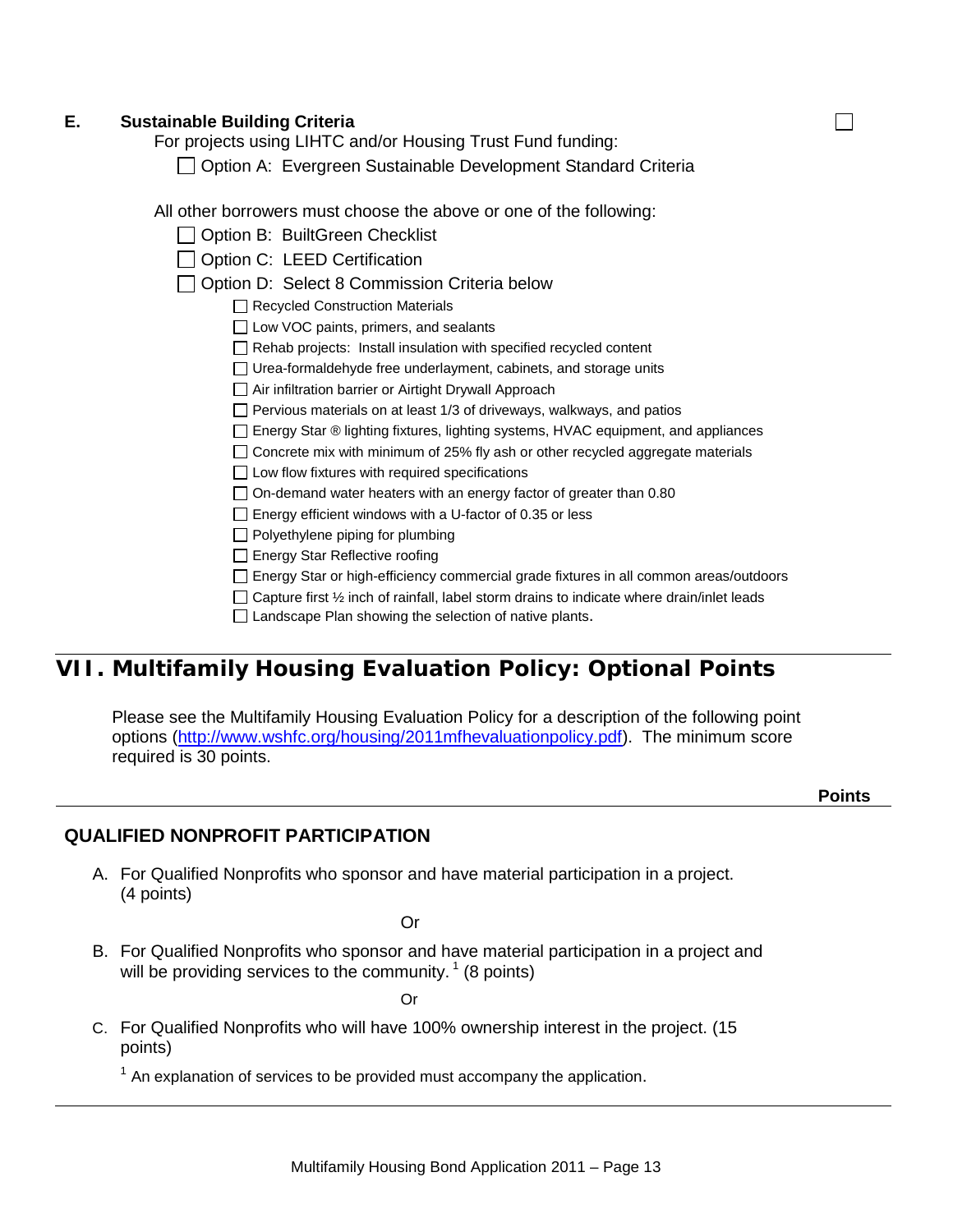### **E. Sustainable Building Criteria**

For projects using LIHTC and/or Housing Trust Fund funding:

□ Option A: [Evergreen Sustainable Development Standard](http://www.cted.wa.gov/DesktopModules/CTEDPublications/CTEDPublicationsView.aspx?tabID=0&ItemID=1545&MId=870&wversion=Staging) Criteria

All other borrowers must choose the above or one of the following:

|  | Option B: BuiltGreen Checklist |  |
|--|--------------------------------|--|
|--|--------------------------------|--|

□ Option C: LEED Certification

□ Option D: Select 8 Commission Criteria below

Recycled Construction Materials

 $\Box$  Low VOC paints, primers, and sealants

 $\Box$  Rehab projects: Install insulation with specified recycled content

□ Urea-formaldehyde free underlayment, cabinets, and storage units

□ Air infiltration barrier or Airtight Drywall Approach

 $\Box$  Pervious materials on at least 1/3 of driveways, walkways, and patios

Energy Star ® lighting fixtures, lighting systems, HVAC equipment, and appliances

 $\Box$  Concrete mix with minimum of 25% fly ash or other recycled aggregate materials

 $\Box$  Low flow fixtures with required specifications

 $\Box$  On-demand water heaters with an energy factor of greater than 0.80

Energy efficient windows with a U-factor of 0.35 or less

 $\Box$  Polyethylene piping for plumbing

□ Energy Star Reflective roofing

Energy Star or high-efficiency commercial grade fixtures in all common areas/outdoors

 $\Box$  Capture first  $\frac{1}{2}$  inch of rainfall, label storm drains to indicate where drain/inlet leads

 $\Box$  Landscape Plan showing the selection of native plants.

# **VII. Multifamily Housing Evaluation Policy: Optional Points**

Please see the Multifamily Housing Evaluation Policy for a description of the following point options [\(http://www.wshfc.org/housing/2011mfhevaluationpolicy.pdf\)](http://www.wshfc.org/housing/2011mfhevaluationpolicy.pdf). The minimum score required is 30 points.

П

### **QUALIFIED NONPROFIT PARTICIPATION**

A. For Qualified Nonprofits who sponsor and have material participation in a project. (4 points)

Or

B. For Qualified Nonprofits who sponsor and have material participation in a project and will be providing services to the community.  $(8 \text{ points})$ 

Or

C. For Qualified Nonprofits who will have 100% ownership interest in the project. (15 points)

 $1$  An explanation of services to be provided must accompany the application.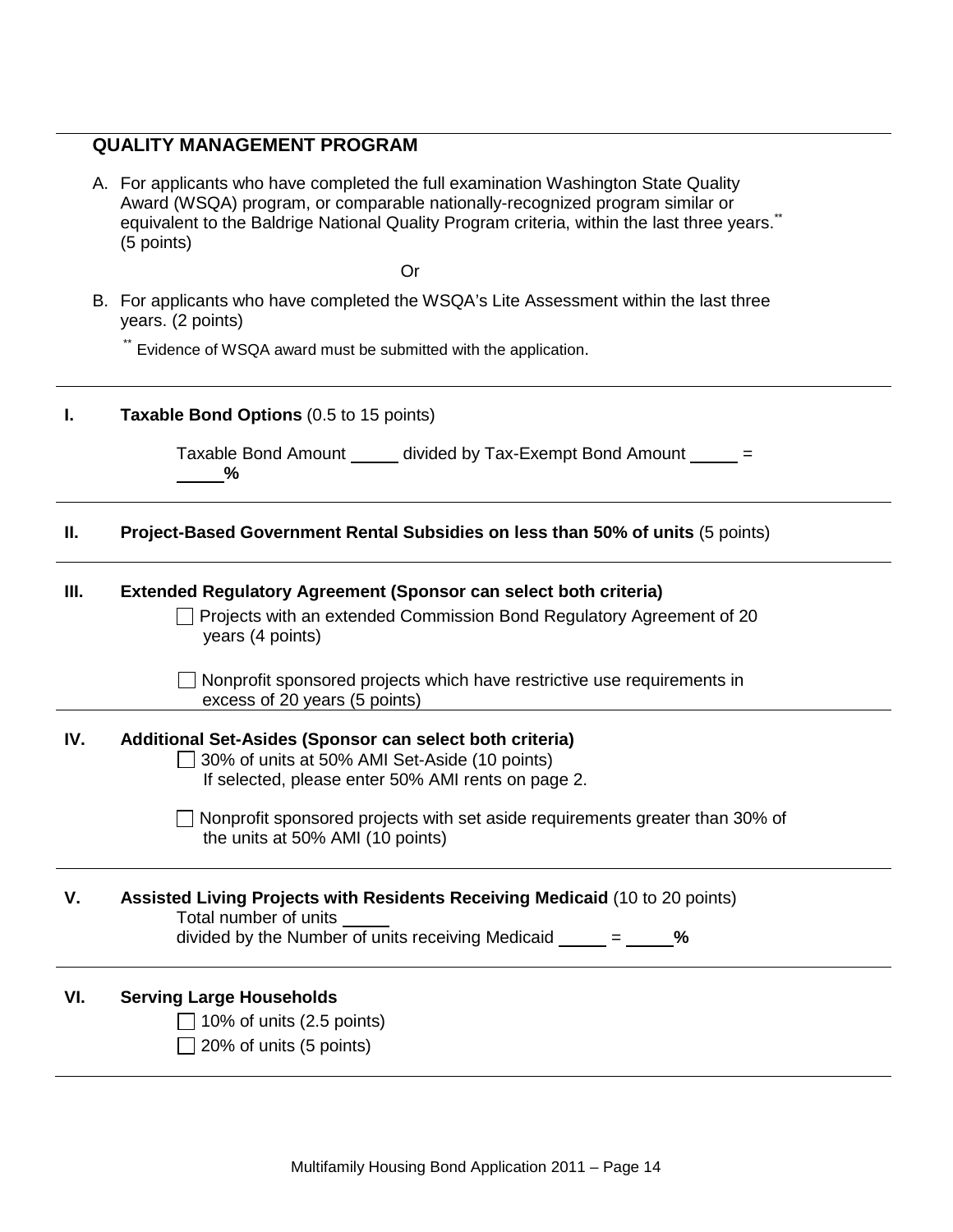### **QUALITY MANAGEMENT PROGRAM**

A. For applicants who have completed the full examination Washington State Quality Award (WSQA) program, or comparable nationally-recognized program similar or equivalent to the Baldrige National Quality Program criteria, within the last three years.<sup>\*\*</sup> (5 points)

Or

B. For applicants who have completed the WSQA's Lite Assessment within the last three years. (2 points)

\*\* Evidence of WSQA award must be submitted with the application.

| I.   | Taxable Bond Options (0.5 to 15 points)                                                                                                                                                                                                                                             |
|------|-------------------------------------------------------------------------------------------------------------------------------------------------------------------------------------------------------------------------------------------------------------------------------------|
|      | Taxable Bond Amount ______ divided by Tax-Exempt Bond Amount _____ =<br>$\%$                                                                                                                                                                                                        |
| Н.   | Project-Based Government Rental Subsidies on less than 50% of units (5 points)                                                                                                                                                                                                      |
| III. | <b>Extended Regulatory Agreement (Sponsor can select both criteria)</b><br>Projects with an extended Commission Bond Regulatory Agreement of 20<br>years (4 points)                                                                                                                 |
|      | Nonprofit sponsored projects which have restrictive use requirements in<br>excess of 20 years (5 points)                                                                                                                                                                            |
| IV.  | Additional Set-Asides (Sponsor can select both criteria)<br>30% of units at 50% AMI Set-Aside (10 points)<br>If selected, please enter 50% AMI rents on page 2.<br>Nonprofit sponsored projects with set aside requirements greater than 30% of<br>the units at 50% AMI (10 points) |
| V.   | Assisted Living Projects with Residents Receiving Medicaid (10 to 20 points)<br>Total number of units<br>divided by the Number of units receiving Medicaid $=$ %                                                                                                                    |
| VI.  | <b>Serving Large Households</b><br>10% of units (2.5 points)<br>20% of units (5 points)                                                                                                                                                                                             |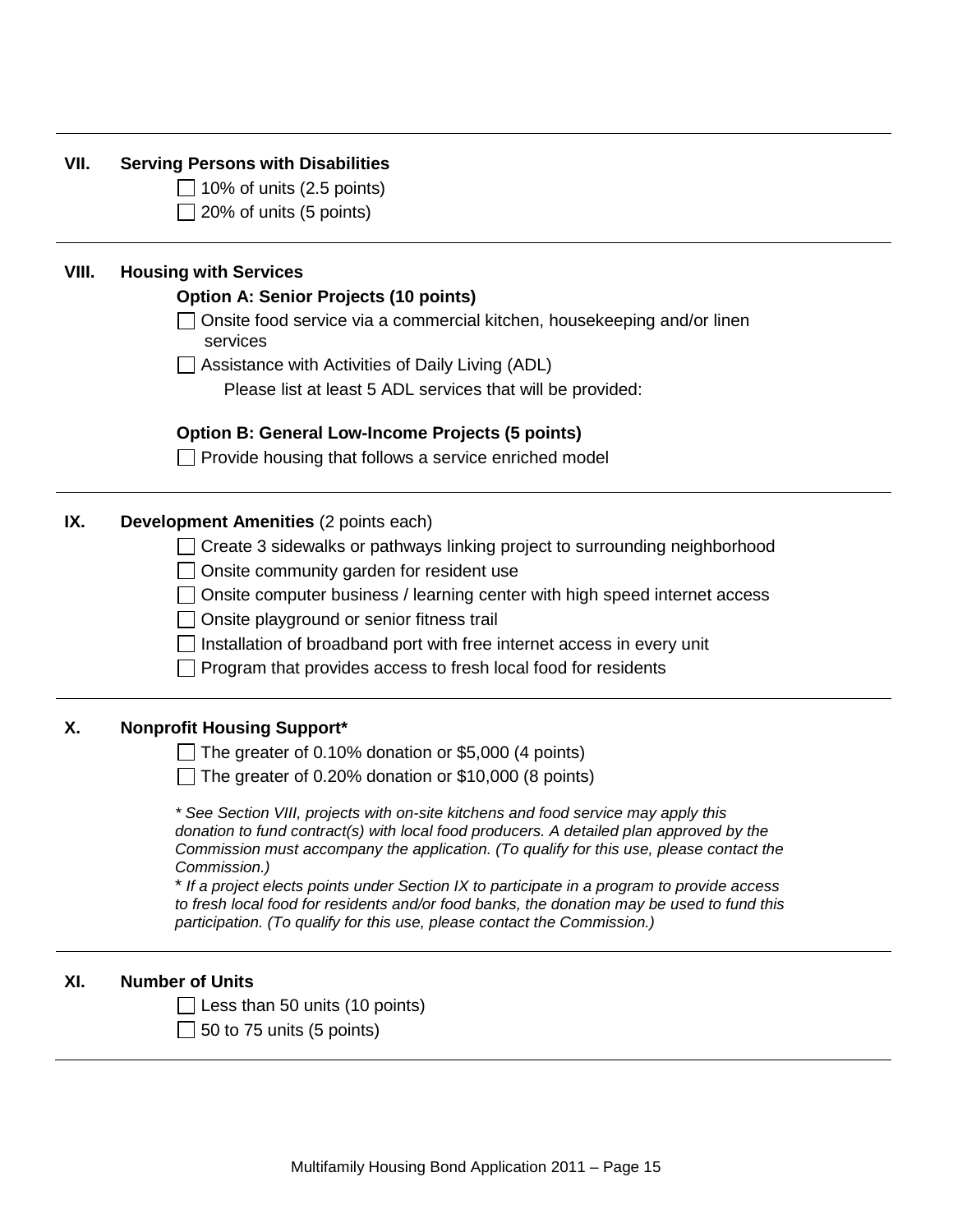| VII.  | <b>Serving Persons with Disabilities</b>                                                                                                                               |
|-------|------------------------------------------------------------------------------------------------------------------------------------------------------------------------|
|       | 10% of units (2.5 points)                                                                                                                                              |
|       | 20% of units (5 points)                                                                                                                                                |
| VIII. | <b>Housing with Services</b>                                                                                                                                           |
|       | <b>Option A: Senior Projects (10 points)</b>                                                                                                                           |
|       | Onsite food service via a commercial kitchen, housekeeping and/or linen<br>services                                                                                    |
|       | Assistance with Activities of Daily Living (ADL)                                                                                                                       |
|       | Please list at least 5 ADL services that will be provided:                                                                                                             |
|       | <b>Option B: General Low-Income Projects (5 points)</b>                                                                                                                |
|       | $\Box$ Provide housing that follows a service enriched model                                                                                                           |
| IX.   | Development Amenities (2 points each)                                                                                                                                  |
|       | Create 3 sidewalks or pathways linking project to surrounding neighborhood                                                                                             |
|       | Onsite community garden for resident use                                                                                                                               |
|       | Onsite computer business / learning center with high speed internet access                                                                                             |
|       | Onsite playground or senior fitness trail                                                                                                                              |
|       | Installation of broadband port with free internet access in every unit                                                                                                 |
|       | Program that provides access to fresh local food for residents                                                                                                         |
| Χ.    | <b>Nonprofit Housing Support*</b>                                                                                                                                      |
|       | The greater of 0.10% donation or \$5,000 (4 points)                                                                                                                    |
|       | The greater of 0.20% donation or \$10,000 (8 points)                                                                                                                   |
|       | * See Section VIII, projects with on-site kitchens and food service may apply this                                                                                     |
|       | donation to fund contract(s) with local food producers. A detailed plan approved by the                                                                                |
|       | Commission must accompany the application. (To qualify for this use, please contact the                                                                                |
|       | Commission.)<br>* If a project elects points under Section IX to participate in a program to provide access                                                            |
|       | to fresh local food for residents and/or food banks, the donation may be used to fund this<br>participation. (To qualify for this use, please contact the Commission.) |
| XI.   | <b>Number of Units</b>                                                                                                                                                 |
|       | Less than 50 units (10 points)                                                                                                                                         |
|       | 50 to 75 units (5 points)                                                                                                                                              |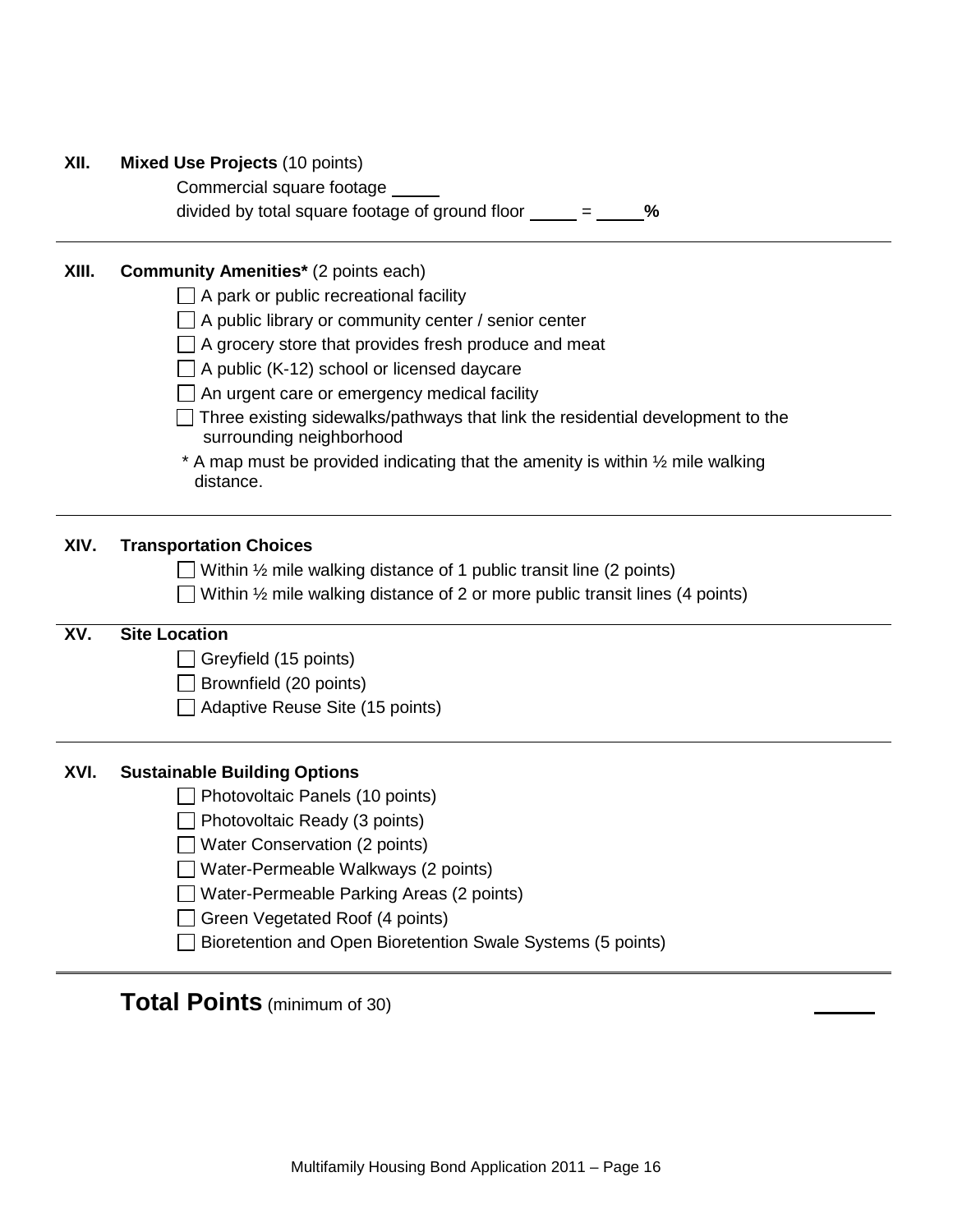| XII.  | <b>Mixed Use Projects (10 points)</b><br>Commercial square footage<br>divided by total square footage of ground floor $\frac{1}{\sqrt{1-\frac{1}{\sqrt{1-\frac{1}{\sqrt{1-\frac{1}{\sqrt{1-\frac{1}{\sqrt{1-\frac{1}{\sqrt{1-\frac{1}{\sqrt{1-\frac{1}{\sqrt{1-\frac{1}{\sqrt{1-\frac{1}{\sqrt{1-\frac{1}{\sqrt{1-\frac{1}{\sqrt{1-\frac{1}{\sqrt{1-\frac{1}{\sqrt{1-\frac{1}{\sqrt{1-\frac{1}{\sqrt{1-\frac{1}{\sqrt{1-\frac{1}{\sqrt{1-\frac{1}{\sqrt{1-\$<br>%                                                        |
|-------|--------------------------------------------------------------------------------------------------------------------------------------------------------------------------------------------------------------------------------------------------------------------------------------------------------------------------------------------------------------------------------------------------------------------------------------------------------------------------------------------------------------------------|
| XIII. | <b>Community Amenities*</b> (2 points each)<br>$\Box$ A park or public recreational facility<br>A public library or community center / senior center<br>A grocery store that provides fresh produce and meat<br>A public (K-12) school or licensed daycare<br>An urgent care or emergency medical facility<br>Three existing sidewalks/pathways that link the residential development to the<br>surrounding neighborhood<br>* A map must be provided indicating that the amenity is within 1/2 mile walking<br>distance. |
| XIV.  | <b>Transportation Choices</b><br>Within $\frac{1}{2}$ mile walking distance of 1 public transit line (2 points)<br>Within $\frac{1}{2}$ mile walking distance of 2 or more public transit lines (4 points)                                                                                                                                                                                                                                                                                                               |
| XV.   | <b>Site Location</b><br>Greyfield (15 points)<br>Brownfield (20 points)<br>Adaptive Reuse Site (15 points)                                                                                                                                                                                                                                                                                                                                                                                                               |
| XVI.  | <b>Sustainable Building Options</b><br>Photovoltaic Panels (10 points)<br>Photovoltaic Ready (3 points)<br>Water Conservation (2 points)<br>Water-Permeable Walkways (2 points)<br>Water-Permeable Parking Areas (2 points)<br>Green Vegetated Roof (4 points)<br>Bioretention and Open Bioretention Swale Systems (5 points)                                                                                                                                                                                            |

# **Total Points** (minimum of 30)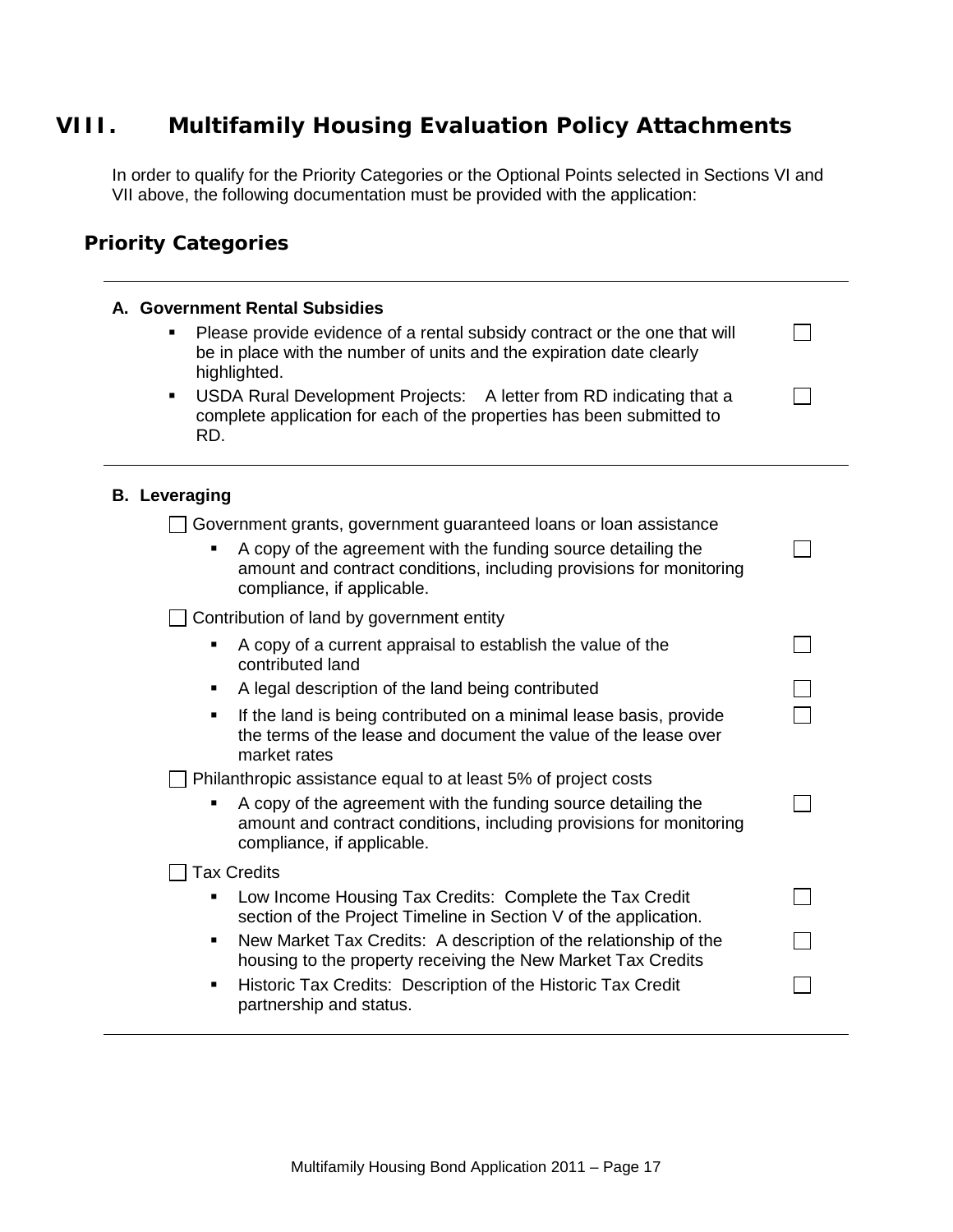# **VIII. Multifamily Housing Evaluation Policy Attachments**

In order to qualify for the Priority Categories or the Optional Points selected in Sections VI and VII above, the following documentation must be provided with the application:

### **Priority Categories**

| A. Government Rental Subsidies<br>Please provide evidence of a rental subsidy contract or the one that will<br>be in place with the number of units and the expiration date clearly<br>highlighted.<br>USDA Rural Development Projects: A letter from RD indicating that a<br>٠<br>complete application for each of the properties has been submitted to<br>RD. |  |
|-----------------------------------------------------------------------------------------------------------------------------------------------------------------------------------------------------------------------------------------------------------------------------------------------------------------------------------------------------------------|--|
| <b>B.</b> Leveraging                                                                                                                                                                                                                                                                                                                                            |  |
| Government grants, government guaranteed loans or loan assistance<br>A copy of the agreement with the funding source detailing the<br>amount and contract conditions, including provisions for monitoring<br>compliance, if applicable.                                                                                                                         |  |
| Contribution of land by government entity                                                                                                                                                                                                                                                                                                                       |  |
| A copy of a current appraisal to establish the value of the<br>contributed land                                                                                                                                                                                                                                                                                 |  |
| A legal description of the land being contributed<br>٠                                                                                                                                                                                                                                                                                                          |  |
| If the land is being contributed on a minimal lease basis, provide<br>п<br>the terms of the lease and document the value of the lease over<br>market rates                                                                                                                                                                                                      |  |
| Philanthropic assistance equal to at least 5% of project costs                                                                                                                                                                                                                                                                                                  |  |
| A copy of the agreement with the funding source detailing the<br>٠<br>amount and contract conditions, including provisions for monitoring<br>compliance, if applicable.                                                                                                                                                                                         |  |
| <b>Tax Credits</b>                                                                                                                                                                                                                                                                                                                                              |  |
| Low Income Housing Tax Credits: Complete the Tax Credit<br>section of the Project Timeline in Section V of the application.                                                                                                                                                                                                                                     |  |
| New Market Tax Credits: A description of the relationship of the<br>٠<br>housing to the property receiving the New Market Tax Credits                                                                                                                                                                                                                           |  |
| Historic Tax Credits: Description of the Historic Tax Credit<br>٠<br>partnership and status.                                                                                                                                                                                                                                                                    |  |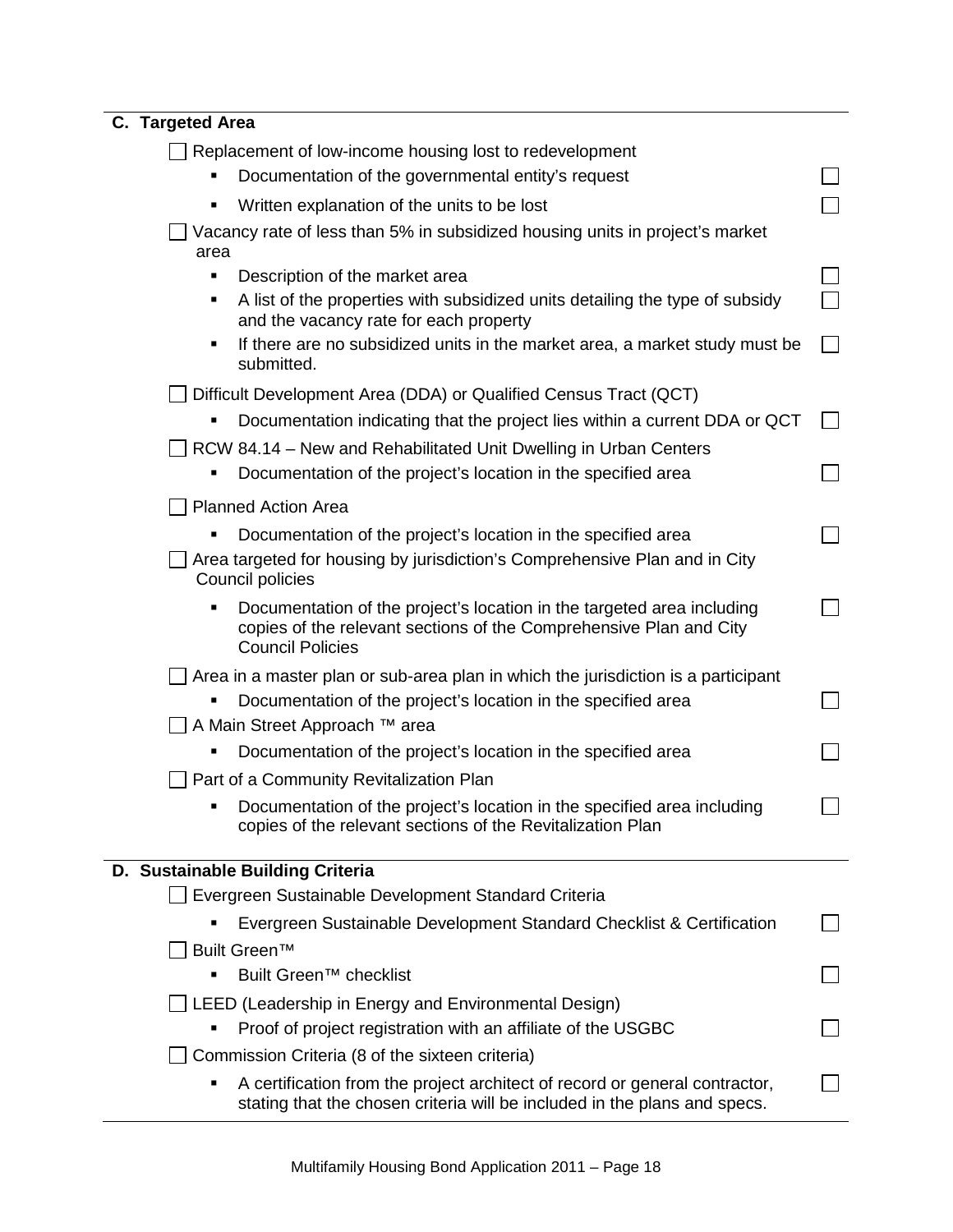| C. Targeted Area                                                                                                                                                        |  |
|-------------------------------------------------------------------------------------------------------------------------------------------------------------------------|--|
| Replacement of low-income housing lost to redevelopment                                                                                                                 |  |
| Documentation of the governmental entity's request                                                                                                                      |  |
| Written explanation of the units to be lost                                                                                                                             |  |
| Vacancy rate of less than 5% in subsidized housing units in project's market<br>area                                                                                    |  |
| Description of the market area<br>٠                                                                                                                                     |  |
| A list of the properties with subsidized units detailing the type of subsidy<br>٠<br>and the vacancy rate for each property                                             |  |
| If there are no subsidized units in the market area, a market study must be<br>٠<br>submitted.                                                                          |  |
| Difficult Development Area (DDA) or Qualified Census Tract (QCT)                                                                                                        |  |
| Documentation indicating that the project lies within a current DDA or QCT                                                                                              |  |
| RCW 84.14 – New and Rehabilitated Unit Dwelling in Urban Centers                                                                                                        |  |
| Documentation of the project's location in the specified area                                                                                                           |  |
| <b>Planned Action Area</b>                                                                                                                                              |  |
| Documentation of the project's location in the specified area                                                                                                           |  |
| Area targeted for housing by jurisdiction's Comprehensive Plan and in City<br>Council policies                                                                          |  |
| Documentation of the project's location in the targeted area including<br>copies of the relevant sections of the Comprehensive Plan and City<br><b>Council Policies</b> |  |
| Area in a master plan or sub-area plan in which the jurisdiction is a participant                                                                                       |  |
| Documentation of the project's location in the specified area                                                                                                           |  |
| A Main Street Approach ™ area                                                                                                                                           |  |
| Documentation of the project's location in the specified area                                                                                                           |  |
| Part of a Community Revitalization Plan                                                                                                                                 |  |
| Documentation of the project's location in the specified area including<br>copies of the relevant sections of the Revitalization Plan                                   |  |
| D. Sustainable Building Criteria                                                                                                                                        |  |
| Evergreen Sustainable Development Standard Criteria                                                                                                                     |  |
| Evergreen Sustainable Development Standard Checklist & Certification                                                                                                    |  |
| Built Green™                                                                                                                                                            |  |
| Built Green™ checklist                                                                                                                                                  |  |
| LEED (Leadership in Energy and Environmental Design)                                                                                                                    |  |
| Proof of project registration with an affiliate of the USGBC                                                                                                            |  |
| Commission Criteria (8 of the sixteen criteria)                                                                                                                         |  |
| A certification from the project architect of record or general contractor,<br>stating that the chosen criteria will be included in the plans and specs.                |  |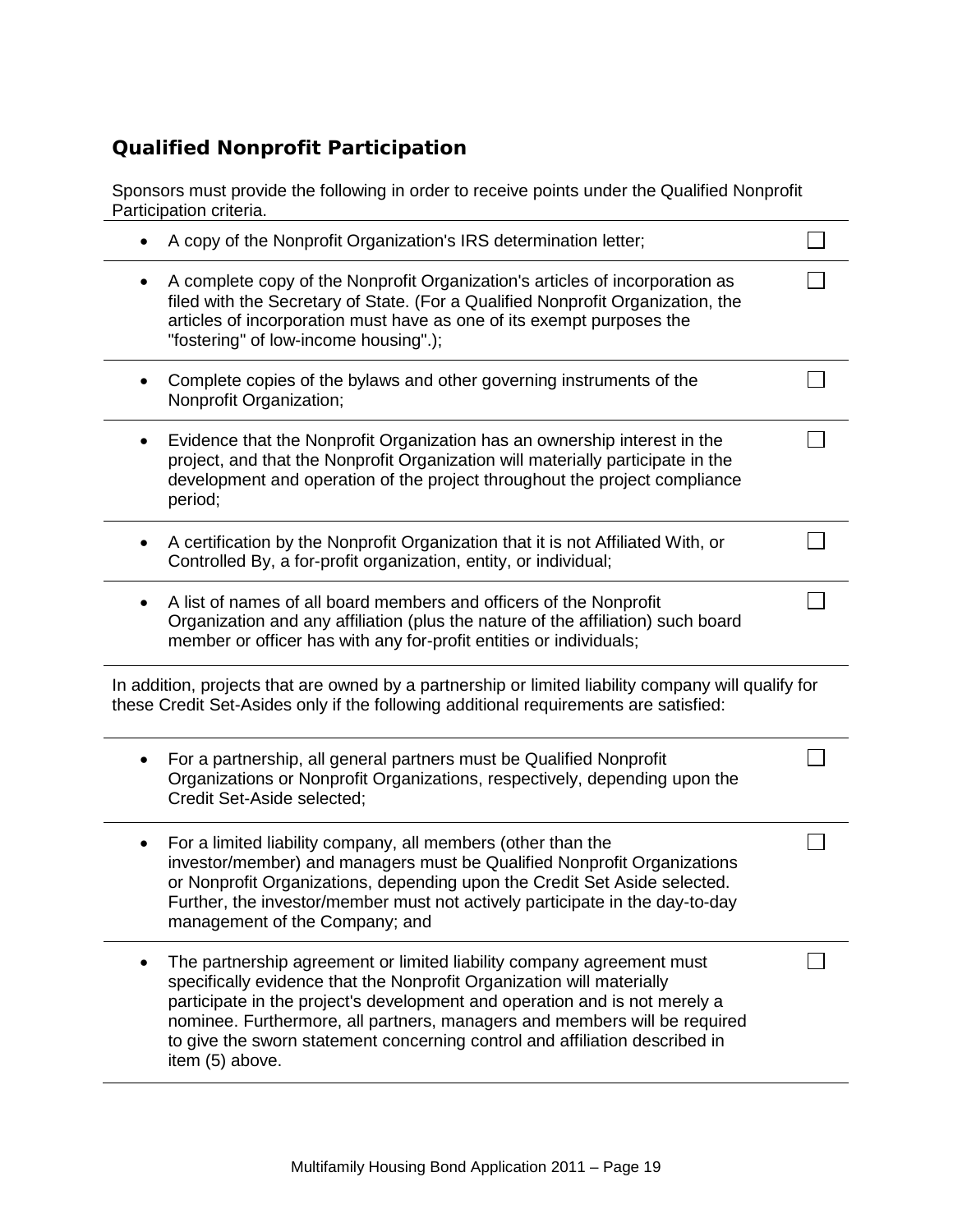## **Qualified Nonprofit Participation**

Sponsors must provide the following in order to receive points under the Qualified Nonprofit Participation criteria.

|           | A copy of the Nonprofit Organization's IRS determination letter;                                                                                                                                                                                                                                                                                                                                            |  |
|-----------|-------------------------------------------------------------------------------------------------------------------------------------------------------------------------------------------------------------------------------------------------------------------------------------------------------------------------------------------------------------------------------------------------------------|--|
|           | A complete copy of the Nonprofit Organization's articles of incorporation as<br>filed with the Secretary of State. (For a Qualified Nonprofit Organization, the<br>articles of incorporation must have as one of its exempt purposes the<br>"fostering" of low-income housing".);                                                                                                                           |  |
|           | Complete copies of the bylaws and other governing instruments of the<br>Nonprofit Organization;                                                                                                                                                                                                                                                                                                             |  |
| ٠         | Evidence that the Nonprofit Organization has an ownership interest in the<br>project, and that the Nonprofit Organization will materially participate in the<br>development and operation of the project throughout the project compliance<br>period;                                                                                                                                                       |  |
|           | A certification by the Nonprofit Organization that it is not Affiliated With, or<br>Controlled By, a for-profit organization, entity, or individual;                                                                                                                                                                                                                                                        |  |
| $\bullet$ | A list of names of all board members and officers of the Nonprofit<br>Organization and any affiliation (plus the nature of the affiliation) such board<br>member or officer has with any for-profit entities or individuals;                                                                                                                                                                                |  |
|           | In addition, projects that are owned by a partnership or limited liability company will qualify for<br>these Credit Set-Asides only if the following additional requirements are satisfied:                                                                                                                                                                                                                 |  |
| ٠         | For a partnership, all general partners must be Qualified Nonprofit<br>Organizations or Nonprofit Organizations, respectively, depending upon the<br>Credit Set-Aside selected;                                                                                                                                                                                                                             |  |
| ٠         | For a limited liability company, all members (other than the<br>investor/member) and managers must be Qualified Nonprofit Organizations<br>or Nonprofit Organizations, depending upon the Credit Set Aside selected.<br>Further, the investor/member must not actively participate in the day-to-day<br>management of the Company; and                                                                      |  |
|           | The partnership agreement or limited liability company agreement must<br>specifically evidence that the Nonprofit Organization will materially<br>participate in the project's development and operation and is not merely a<br>nominee. Furthermore, all partners, managers and members will be required<br>to give the sworn statement concerning control and affiliation described in<br>item (5) above. |  |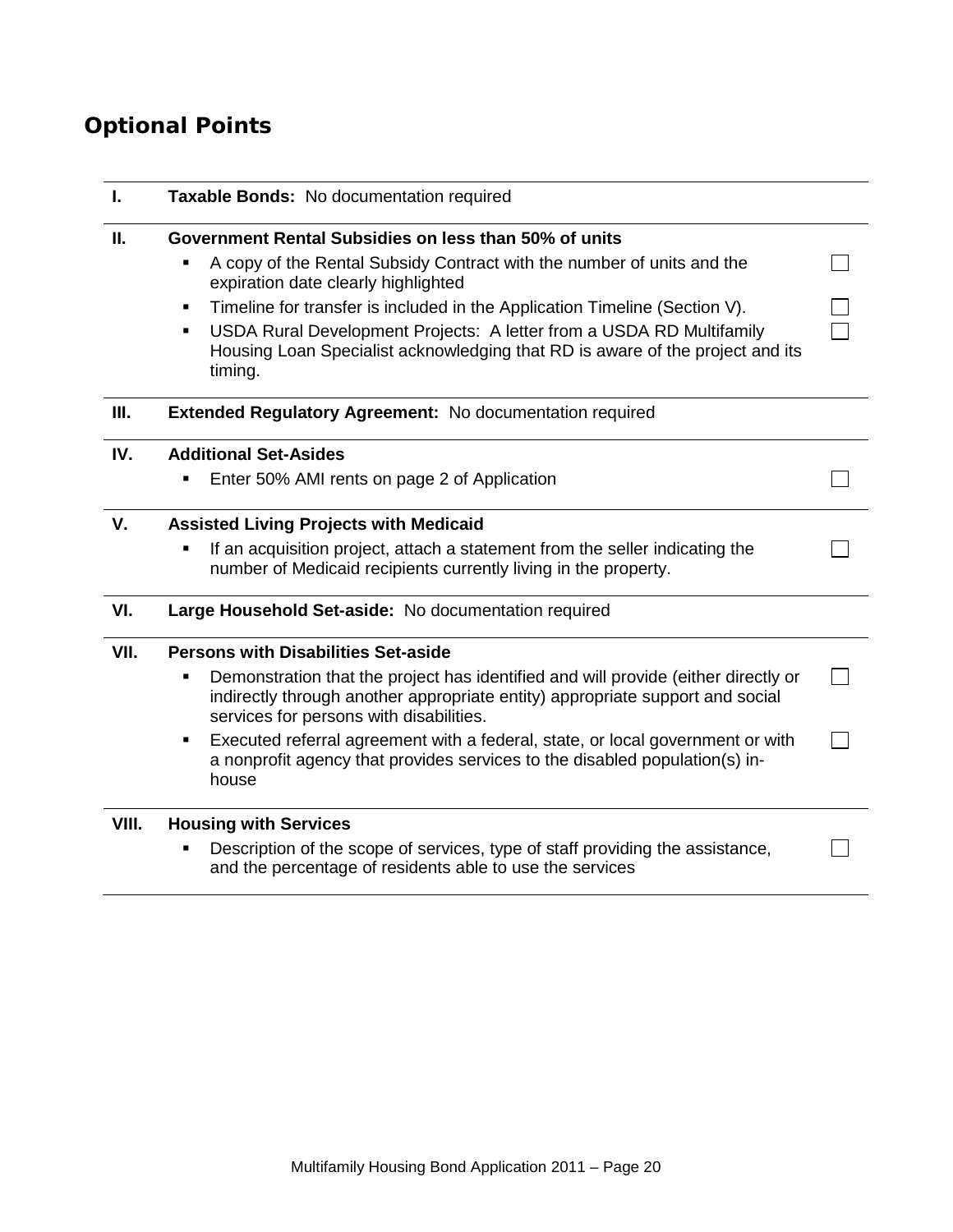# **Optional Points**

| I.    | Taxable Bonds: No documentation required                                                                                                                                                                                                                                                                                                                                                                                                             |  |
|-------|------------------------------------------------------------------------------------------------------------------------------------------------------------------------------------------------------------------------------------------------------------------------------------------------------------------------------------------------------------------------------------------------------------------------------------------------------|--|
| Ш.    | Government Rental Subsidies on less than 50% of units<br>A copy of the Rental Subsidy Contract with the number of units and the<br>٠<br>expiration date clearly highlighted<br>Timeline for transfer is included in the Application Timeline (Section V).<br>٠<br>USDA Rural Development Projects: A letter from a USDA RD Multifamily<br>$\blacksquare$<br>Housing Loan Specialist acknowledging that RD is aware of the project and its<br>timing. |  |
| Ш.    | <b>Extended Regulatory Agreement: No documentation required</b>                                                                                                                                                                                                                                                                                                                                                                                      |  |
| IV.   | <b>Additional Set-Asides</b><br>Enter 50% AMI rents on page 2 of Application                                                                                                                                                                                                                                                                                                                                                                         |  |
| V.    | <b>Assisted Living Projects with Medicaid</b><br>If an acquisition project, attach a statement from the seller indicating the<br>٠<br>number of Medicaid recipients currently living in the property.                                                                                                                                                                                                                                                |  |
| VI.   | Large Household Set-aside: No documentation required                                                                                                                                                                                                                                                                                                                                                                                                 |  |
| VII.  | <b>Persons with Disabilities Set-aside</b><br>Demonstration that the project has identified and will provide (either directly or<br>٠<br>indirectly through another appropriate entity) appropriate support and social<br>services for persons with disabilities.<br>Executed referral agreement with a federal, state, or local government or with<br>٠<br>a nonprofit agency that provides services to the disabled population(s) in-<br>house     |  |
| VIII. | <b>Housing with Services</b><br>Description of the scope of services, type of staff providing the assistance,<br>and the percentage of residents able to use the services                                                                                                                                                                                                                                                                            |  |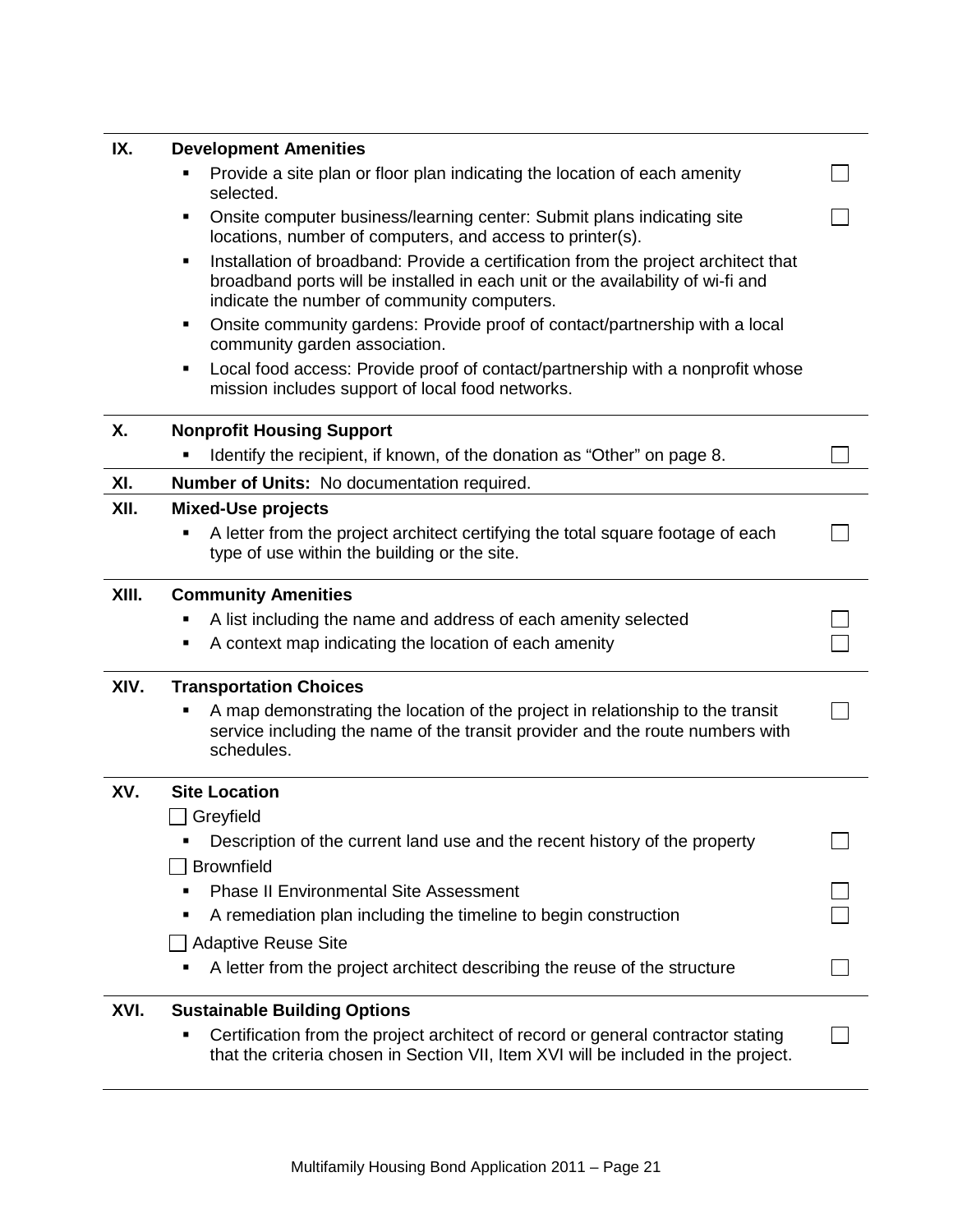| <b>Development Amenities</b>                                                                                                                                                                                                                                                                                                                                          |  |  |  |  |                                                                                                              |
|-----------------------------------------------------------------------------------------------------------------------------------------------------------------------------------------------------------------------------------------------------------------------------------------------------------------------------------------------------------------------|--|--|--|--|--------------------------------------------------------------------------------------------------------------|
| Provide a site plan or floor plan indicating the location of each amenity<br>selected.                                                                                                                                                                                                                                                                                |  |  |  |  |                                                                                                              |
| Onsite computer business/learning center: Submit plans indicating site<br>٠<br>locations, number of computers, and access to printer(s).<br>Installation of broadband: Provide a certification from the project architect that<br>٠<br>broadband ports will be installed in each unit or the availability of wi-fi and<br>indicate the number of community computers. |  |  |  |  |                                                                                                              |
|                                                                                                                                                                                                                                                                                                                                                                       |  |  |  |  | Onsite community gardens: Provide proof of contact/partnership with a local<br>community garden association. |
| Local food access: Provide proof of contact/partnership with a nonprofit whose<br>mission includes support of local food networks.                                                                                                                                                                                                                                    |  |  |  |  |                                                                                                              |
| <b>Nonprofit Housing Support</b>                                                                                                                                                                                                                                                                                                                                      |  |  |  |  |                                                                                                              |
| Identify the recipient, if known, of the donation as "Other" on page 8.                                                                                                                                                                                                                                                                                               |  |  |  |  |                                                                                                              |
| <b>Number of Units: No documentation required.</b>                                                                                                                                                                                                                                                                                                                    |  |  |  |  |                                                                                                              |
| <b>Mixed-Use projects</b>                                                                                                                                                                                                                                                                                                                                             |  |  |  |  |                                                                                                              |
| A letter from the project architect certifying the total square footage of each<br>type of use within the building or the site.                                                                                                                                                                                                                                       |  |  |  |  |                                                                                                              |
| <b>Community Amenities</b>                                                                                                                                                                                                                                                                                                                                            |  |  |  |  |                                                                                                              |
| A list including the name and address of each amenity selected                                                                                                                                                                                                                                                                                                        |  |  |  |  |                                                                                                              |
| A context map indicating the location of each amenity                                                                                                                                                                                                                                                                                                                 |  |  |  |  |                                                                                                              |
| <b>Transportation Choices</b>                                                                                                                                                                                                                                                                                                                                         |  |  |  |  |                                                                                                              |
| A map demonstrating the location of the project in relationship to the transit<br>service including the name of the transit provider and the route numbers with<br>schedules.                                                                                                                                                                                         |  |  |  |  |                                                                                                              |
| <b>Site Location</b>                                                                                                                                                                                                                                                                                                                                                  |  |  |  |  |                                                                                                              |
| Greyfield                                                                                                                                                                                                                                                                                                                                                             |  |  |  |  |                                                                                                              |
| Description of the current land use and the recent history of the property                                                                                                                                                                                                                                                                                            |  |  |  |  |                                                                                                              |
| <b>Brownfield</b>                                                                                                                                                                                                                                                                                                                                                     |  |  |  |  |                                                                                                              |
| <b>Phase II Environmental Site Assessment</b>                                                                                                                                                                                                                                                                                                                         |  |  |  |  |                                                                                                              |
| A remediation plan including the timeline to begin construction                                                                                                                                                                                                                                                                                                       |  |  |  |  |                                                                                                              |
| Adaptive Reuse Site                                                                                                                                                                                                                                                                                                                                                   |  |  |  |  |                                                                                                              |
| A letter from the project architect describing the reuse of the structure                                                                                                                                                                                                                                                                                             |  |  |  |  |                                                                                                              |
| <b>Sustainable Building Options</b>                                                                                                                                                                                                                                                                                                                                   |  |  |  |  |                                                                                                              |
| Certification from the project architect of record or general contractor stating<br>that the criteria chosen in Section VII, Item XVI will be included in the project.                                                                                                                                                                                                |  |  |  |  |                                                                                                              |
|                                                                                                                                                                                                                                                                                                                                                                       |  |  |  |  |                                                                                                              |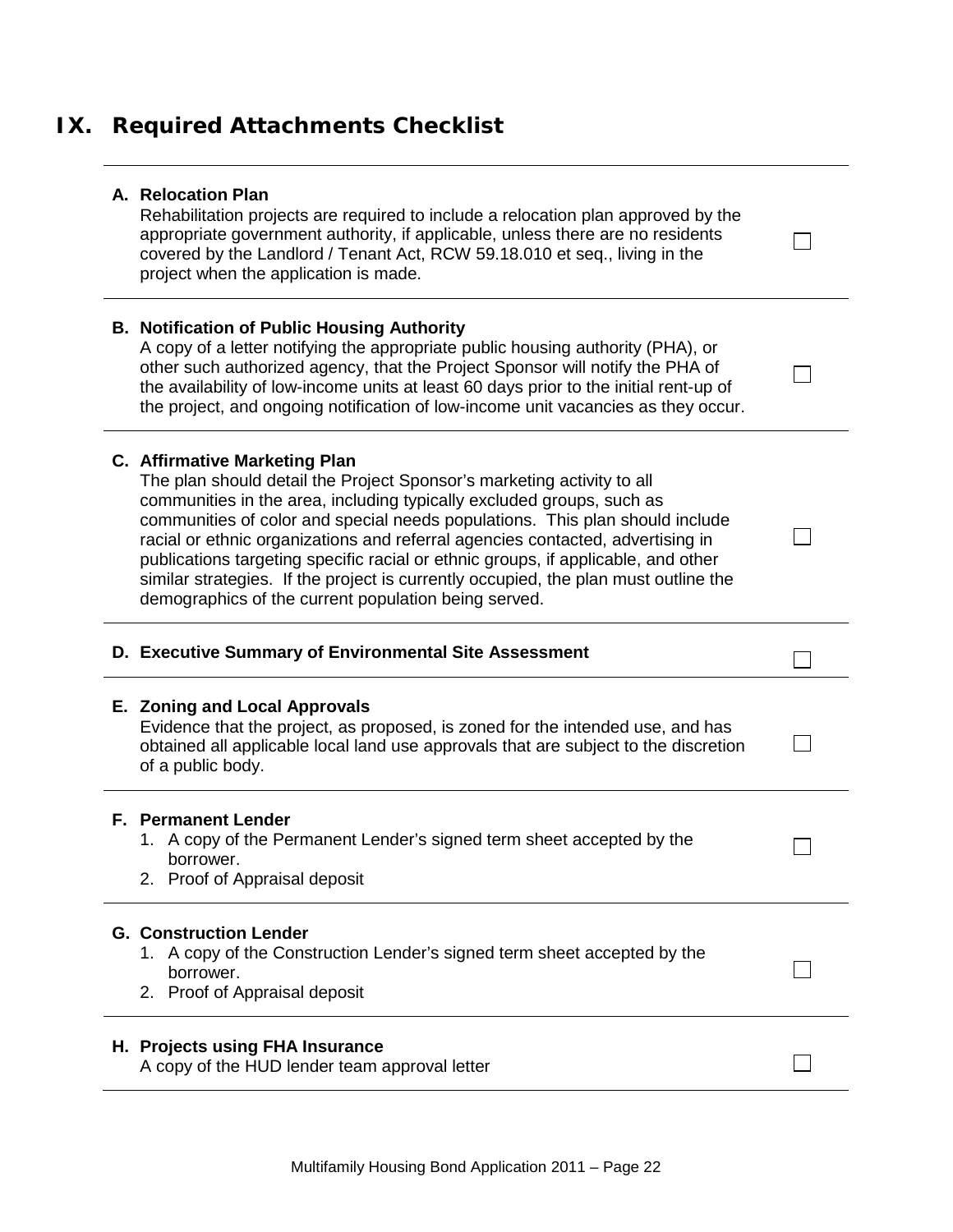# **IX. Required Attachments Checklist**

|  | A. Relocation Plan |  |
|--|--------------------|--|
|  |                    |  |

Rehabilitation projects are required to include a relocation plan approved by the appropriate government authority, if applicable, unless there are no residents covered by the Landlord / Tenant Act, RCW 59.18.010 et seq., living in the project when the application is made.

П

 $\Box$ 

 $\Box$ 

П

 $\Box$ 

 $\Box$ 

П

### **B. Notification of Public Housing Authority**

A copy of a letter notifying the appropriate public housing authority (PHA), or other such authorized agency, that the Project Sponsor will notify the PHA of the availability of low-income units at least 60 days prior to the initial rent-up of the project, and ongoing notification of low-income unit vacancies as they occur.

#### **C. Affirmative Marketing Plan**

The plan should detail the Project Sponsor's marketing activity to all communities in the area, including typically excluded groups, such as communities of color and special needs populations. This plan should include racial or ethnic organizations and referral agencies contacted, advertising in publications targeting specific racial or ethnic groups, if applicable, and other similar strategies. If the project is currently occupied, the plan must outline the demographics of the current population being served.

### **D. Executive Summary of Environmental Site Assessment**

#### **E. Zoning and Local Approvals**

Evidence that the project, as proposed, is zoned for the intended use, and has obtained all applicable local land use approvals that are subject to the discretion of a public body.

#### **F. Permanent Lender**

- 1. A copy of the Permanent Lender's signed term sheet accepted by the borrower.
- 2. Proof of Appraisal deposit

#### **G. Construction Lender**

- 1. A copy of the Construction Lender's signed term sheet accepted by the borrower.
- 2. Proof of Appraisal deposit

#### **H. Projects using FHA Insurance**

A copy of the HUD lender team approval letter